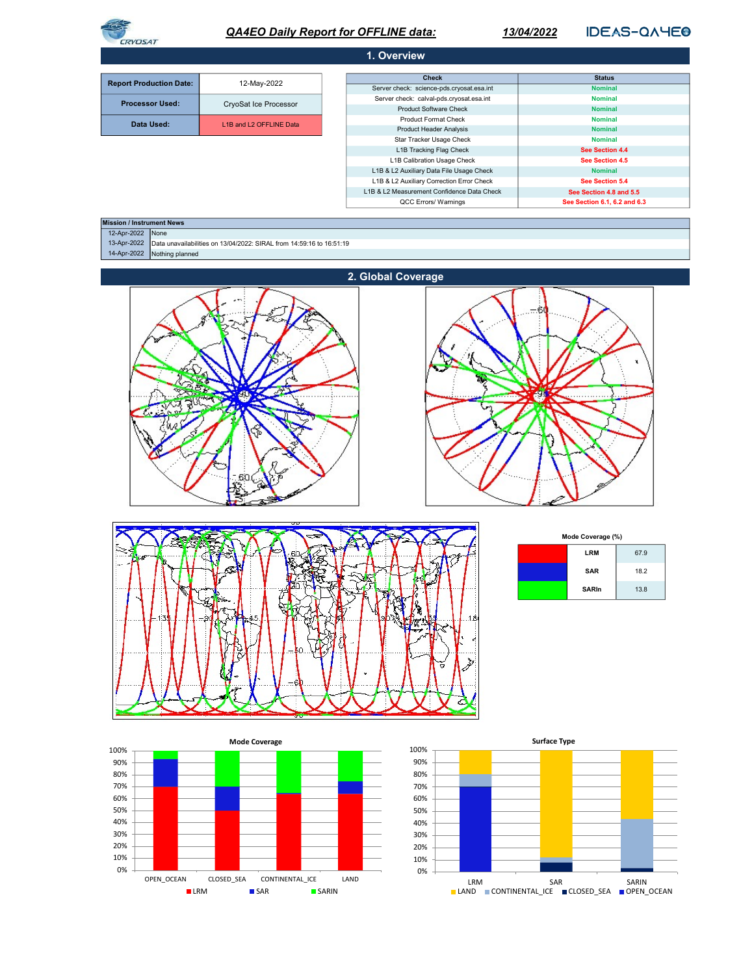

# QA4EO Daily Report for OFFLINE data:

13/04/2022

**IDEAS-QAYEO** 

| 1. Overview                                                           |                                                                      |                                           |                |  |
|-----------------------------------------------------------------------|----------------------------------------------------------------------|-------------------------------------------|----------------|--|
|                                                                       |                                                                      |                                           |                |  |
| <b>Report Production Date:</b>                                        | 12-May-2022                                                          | <b>Check</b>                              | <b>Status</b>  |  |
|                                                                       |                                                                      | Server check: science-pds.cryosat.esa.int | <b>Nominal</b> |  |
| <b>Processor Used:</b>                                                | CryoSat Ice Processor                                                | Server check: calval-pds.cryosat.esa.int  | <b>Nominal</b> |  |
|                                                                       |                                                                      | <b>Product Software Check</b>             | <b>Nominal</b> |  |
| Data Used:                                                            | L1B and L2 OFFLINE Data                                              | <b>Product Format Check</b>               | <b>Nominal</b> |  |
|                                                                       |                                                                      | <b>Product Header Analysis</b>            | <b>Nominal</b> |  |
|                                                                       |                                                                      | Star Tracker Usage Check                  | <b>Nominal</b> |  |
| L1B Tracking Flag Check<br>See Section 4.4                            |                                                                      |                                           |                |  |
| L1B Calibration Usage Check<br>See Section 4.5                        |                                                                      |                                           |                |  |
| L1B & L2 Auxiliary Data File Usage Check<br><b>Nominal</b>            |                                                                      |                                           |                |  |
| L1B & L2 Auxiliary Correction Error Check<br>See Section 5.4          |                                                                      |                                           |                |  |
| L1B & L2 Measurement Confidence Data Check<br>See Section 4.8 and 5.5 |                                                                      |                                           |                |  |
| QCC Errors/ Warnings<br>See Section 6.1, 6.2 and 6.3                  |                                                                      |                                           |                |  |
|                                                                       |                                                                      |                                           |                |  |
| <b>Mission / Instrument News</b>                                      |                                                                      |                                           |                |  |
| None<br>12-Apr-2022                                                   |                                                                      |                                           |                |  |
| 13-Apr-2022                                                           | Data unavailabilities on 13/04/2022: SIRAL from 14:59:16 to 16:51:19 |                                           |                |  |
| Nothing planned<br>14-Apr-2022                                        |                                                                      |                                           |                |  |
|                                                                       |                                                                      |                                           |                |  |







| Mode Coverage (%) |              |      |
|-------------------|--------------|------|
|                   | <b>LRM</b>   | 67.9 |
|                   | <b>SAR</b>   | 18.2 |
|                   | <b>SARIn</b> | 13.8 |



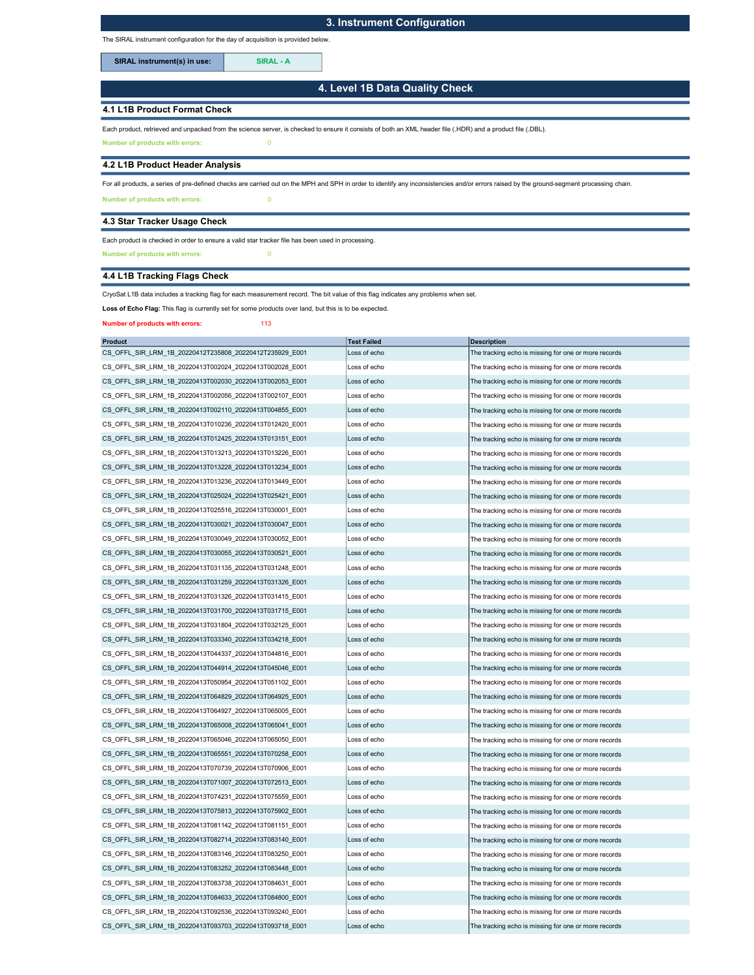# 3. Instrument Configuration

The SIRAL instrument configuration for the day of acquisition is provided below.

SIRAL instrument(s) in use: SIRAL - A

4. Level 1B Data Quality Check

## 4.1 L1B Product Format Check

Each product, retrieved and unpacked from the science server, is checked to ensure it consists of both an XML header file (.HDR) and a product file (.DBL).

Number of products with errors: 0

#### 4.2 L1B Product Header Analysis

For all products, a series of pre-defined checks are carried out on the MPH and SPH in order to identify any inconsistencies and/or errors raised by the ground-segment processing chain.

Number of products with errors: 0

## 4.3 Star Tracker Usage Check

Each product is checked in order to ensure a valid star tracker file has been used in processing.

Number of products with errors: 0

# 4.4 L1B Tracking Flags Check

CryoSat L1B data includes a tracking flag for each measurement record. The bit value of this flag indicates any problems when set.

Loss of Echo Flag: This flag is currently set for some products over land, but this is to be expected.

Number of products with errors: 113

| <b>Product</b>                                          | <b>Test Failed</b> | <b>Description</b>                                   |
|---------------------------------------------------------|--------------------|------------------------------------------------------|
| CS OFFL SIR LRM 1B 20220412T235808 20220412T235929 E001 | Loss of echo       | The tracking echo is missing for one or more records |
| CS OFFL SIR LRM 1B 20220413T002024 20220413T002028 E001 | Loss of echo       | The tracking echo is missing for one or more records |
| CS_OFFL_SIR_LRM_1B_20220413T002030_20220413T002053_E001 | Loss of echo       | The tracking echo is missing for one or more records |
| CS OFFL SIR LRM 1B 20220413T002056 20220413T002107 E001 | Loss of echo       | The tracking echo is missing for one or more records |
| CS OFFL SIR LRM 1B 20220413T002110 20220413T004855 E001 | Loss of echo       | The tracking echo is missing for one or more records |
| CS OFFL SIR LRM 1B 20220413T010236 20220413T012420 E001 | Loss of echo       | The tracking echo is missing for one or more records |
| CS OFFL SIR LRM 1B 20220413T012425 20220413T013151 E001 | Loss of echo       | The tracking echo is missing for one or more records |
| CS OFFL SIR LRM 1B 20220413T013213 20220413T013226 E001 | Loss of echo       | The tracking echo is missing for one or more records |
| CS_OFFL_SIR_LRM_1B_20220413T013228_20220413T013234_E001 | Loss of echo       | The tracking echo is missing for one or more records |
| CS OFFL SIR LRM 1B 20220413T013236 20220413T013449 E001 | Loss of echo       | The tracking echo is missing for one or more records |
| CS OFFL SIR LRM 1B 20220413T025024 20220413T025421 E001 | Loss of echo       | The tracking echo is missing for one or more records |
| CS_OFFL_SIR_LRM_1B_20220413T025516_20220413T030001_E001 | Loss of echo       | The tracking echo is missing for one or more records |
| CS OFFL SIR LRM 1B 20220413T030021 20220413T030047 E001 | Loss of echo       | The tracking echo is missing for one or more records |
| CS OFFL SIR LRM 1B 20220413T030049 20220413T030052 E001 | Loss of echo       | The tracking echo is missing for one or more records |
| CS_OFFL_SIR_LRM_1B_20220413T030055_20220413T030521_E001 | Loss of echo       | The tracking echo is missing for one or more records |
| CS OFFL SIR LRM 1B 20220413T031135 20220413T031248 E001 | Loss of echo       | The tracking echo is missing for one or more records |
| CS OFFL SIR LRM 1B 20220413T031259 20220413T031326 E001 | Loss of echo       | The tracking echo is missing for one or more records |
| CS_OFFL_SIR_LRM_1B_20220413T031326_20220413T031415_E001 | Loss of echo       | The tracking echo is missing for one or more records |
| CS OFFL SIR LRM 1B 20220413T031700 20220413T031715 E001 | Loss of echo       | The tracking echo is missing for one or more records |
| CS OFFL SIR LRM 1B 20220413T031804 20220413T032125 E001 | Loss of echo       | The tracking echo is missing for one or more records |
| CS OFFL SIR LRM 1B 20220413T033340 20220413T034218 E001 | Loss of echo       | The tracking echo is missing for one or more records |
| CS OFFL SIR LRM 1B 20220413T044337 20220413T044816 E001 | Loss of echo       | The tracking echo is missing for one or more records |
| CS OFFL SIR LRM 1B 20220413T044914 20220413T045046 E001 | Loss of echo       | The tracking echo is missing for one or more records |
| CS OFFL SIR LRM 1B 20220413T050954 20220413T051102 E001 | Loss of echo       | The tracking echo is missing for one or more records |
| CS_OFFL_SIR_LRM_1B_20220413T064829_20220413T064925_E001 | Loss of echo       | The tracking echo is missing for one or more records |
| CS OFFL SIR LRM 1B 20220413T064927 20220413T065005 E001 | Loss of echo       | The tracking echo is missing for one or more records |
| CS OFFL SIR LRM 1B 20220413T065008 20220413T065041 E001 | Loss of echo       | The tracking echo is missing for one or more records |
| CS OFFL SIR LRM 1B 20220413T065046 20220413T065050 E001 | Loss of echo       | The tracking echo is missing for one or more records |
| CS OFFL SIR LRM 1B 20220413T065551 20220413T070258 E001 | Loss of echo       | The tracking echo is missing for one or more records |
| CS OFFL SIR LRM 1B 20220413T070739 20220413T070906 E001 | Loss of echo       | The tracking echo is missing for one or more records |
| CS_OFFL_SIR_LRM_1B_20220413T071007_20220413T072513_E001 | Loss of echo       | The tracking echo is missing for one or more records |
| CS OFFL SIR LRM 1B 20220413T074231 20220413T075559 E001 | Loss of echo       | The tracking echo is missing for one or more records |
| CS OFFL SIR LRM 1B 20220413T075813 20220413T075902 E001 | Loss of echo       | The tracking echo is missing for one or more records |
| CS_OFFL_SIR_LRM_1B_20220413T081142_20220413T081151_E001 | Loss of echo       | The tracking echo is missing for one or more records |
| CS_OFFL_SIR_LRM_1B_20220413T082714_20220413T083140_E001 | Loss of echo       | The tracking echo is missing for one or more records |
| CS OFFL SIR LRM 1B 20220413T083146 20220413T083250 E001 | Loss of echo       | The tracking echo is missing for one or more records |
| CS_OFFL_SIR_LRM_1B_20220413T083252_20220413T083448_E001 | Loss of echo       | The tracking echo is missing for one or more records |
| CS OFFL SIR LRM 1B 20220413T083738 20220413T084631 E001 | Loss of echo       | The tracking echo is missing for one or more records |
| CS OFFL SIR LRM 1B 20220413T084633 20220413T084800 E001 | Loss of echo       | The tracking echo is missing for one or more records |
| CS OFFL SIR LRM 1B 20220413T092536 20220413T093240 E001 | Loss of echo       | The tracking echo is missing for one or more records |
| CS OFFL SIR LRM 1B 20220413T093703 20220413T093718 E001 | Loss of echo       | The tracking echo is missing for one or more records |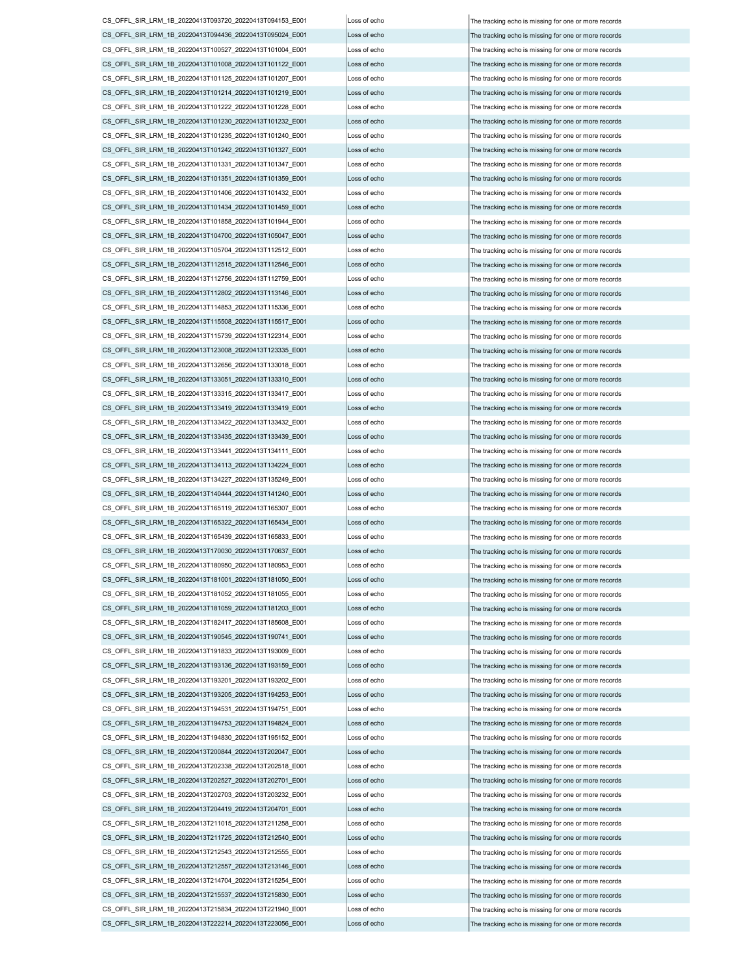CS\_OFFL\_SIR\_LRM\_1B\_20220413T093720\_20220413T094153\_E001 Loss of echo The tracking echo is missing for one or more records CS\_OFFL\_SIR\_LRM\_1B\_20220413T094436\_20220413T095024\_E001 Loss of echo The tracking echo is missing for one or more records CS\_OFFL\_SIR\_LRM\_1B\_20220413T100527\_20220413T101004\_E001 Loss of echo The tracking echo is missing for one or more records CS\_OFFL\_SIR\_LRM\_1B\_20220413T101008\_20220413T101122\_E001 Loss of echo The tracking echo is missing for one or more records CS\_OFFL\_SIR\_LRM\_1B\_20220413T101125\_20220413T101207\_E001 Loss of echo The tracking echo is missing for one or more records CS\_OFFL\_SIR\_LRM\_1B\_20220413T101214\_20220413T101219\_E001 Loss of echo The tracking echo is missing for one or more records CS\_OFFL\_SIR\_LRM\_1B\_20220413T101222\_20220413T101228\_E001 Loss of echo The tracking echo is missing for one or more records CS\_OFFL\_SIR\_LRM\_1B\_20220413T101230\_20220413T101232\_E001 Loss of echo The tracking echo is missing for one or more records CS\_OFFL\_SIR\_LRM\_1B\_20220413T101235\_20220413T101240\_E001 Loss of echo The tracking echo is missing for one or more records CS\_OFFL\_SIR\_LRM\_1B\_20220413T101242\_20220413T101327\_E001 Loss of echo The tracking echo is missing for one or more records CS\_OFFL\_SIR\_LRM\_1B\_20220413T101331\_20220413T101347\_E001 Loss of echo The tracking echo is missing for one or more records CS\_OFFL\_SIR\_LRM\_1B\_20220413T101351\_20220413T101359\_E001 Loss of echo The tracking echo is missing for one or more records CS\_OFFL\_SIR\_LRM\_1B\_20220413T101406\_20220413T101432\_E001 Loss of echo The tracking echo is missing for one or more records CS\_OFFL\_SIR\_LRM\_1B\_20220413T101434\_20220413T101459\_E001 Loss of echo The tracking echo is missing for one or more records CS\_OFFL\_SIR\_LRM\_1B\_20220413T101858\_20220413T101944\_E001 Loss of echo The tracking echo is missing for one or more records CS\_OFFL\_SIR\_LRM\_1B\_20220413T104700\_20220413T105047\_E001 Loss of echo The tracking echo is missing for one or more records CS\_OFFL\_SIR\_LRM\_1B\_20220413T105704\_20220413T112512\_E001 Loss of echo The tracking echo is missing for one or more records CS\_OFFL\_SIR\_LRM\_1B\_20220413T112515\_20220413T112546\_E001 Loss of echo The tracking echo is missing for one or more records CS\_OFFL\_SIR\_LRM\_1B\_20220413T112756\_20220413T112759\_E001 Loss of echo The tracking echo is missing for one or more records CS\_OFFL\_SIR\_LRM\_1B\_20220413T112802\_20220413T113146\_E001 Loss of echo The tracking echo is missing for one or more records CS\_OFFL\_SIR\_LRM\_1B\_20220413T114853\_20220413T115336\_E001 Loss of echo The tracking echo is missing for one or more records CS\_OFFL\_SIR\_LRM\_1B\_20220413T115508\_20220413T115517\_E001 Loss of echo The tracking echo is missing for one or more records CS\_OFFL\_SIR\_LRM\_1B\_20220413T115739\_20220413T122314\_E001 Loss of echo The tracking echo is missing for one or more records CS\_OFFL\_SIR\_LRM\_1B\_20220413T123008\_20220413T123335\_E001 Loss of echo The tracking echo is missing for one or more records CS\_OFFL\_SIR\_LRM\_1B\_20220413T132656\_20220413T133018\_E001 Loss of echo The tracking echo is missing for one or more records CS\_OFFL\_SIR\_LRM\_1B\_20220413T133051\_20220413T133310\_E001 Loss of echo The tracking echo is missing for one or more records CS\_OFFL\_SIR\_LRM\_1B\_20220413T133315\_20220413T133417\_E001 Loss of echo  $\vert$  The tracking echo is missing for one or more records CS\_OFFL\_SIR\_LRM\_1B\_20220413T133419\_20220413T133419\_E001 Loss of echo The tracking echo is missing for one or more records CS\_OFFL\_SIR\_LRM\_1B\_20220413T133422\_20220413T133432\_E001 Loss of echo The tracking echo is missing for one or more records CS\_OFFL\_SIR\_LRM\_1B\_20220413T133435\_20220413T133439\_E001 Loss of echo The tracking echo is missing for one or more records CS\_OFFL\_SIR\_LRM\_1B\_20220413T133441\_20220413T134111\_E001 Loss of echo The tracking echo is missing for one or more records CS\_OFFL\_SIR\_LRM\_1B\_20220413T134113\_20220413T134224\_E001 Loss of echo The tracking echo is missing for one or more records CS\_OFFL\_SIR\_LRM\_1B\_20220413T134227\_20220413T135249\_E001 Loss of echo  $\vert$  The tracking echo is missing for one or more records CS\_OFFL\_SIR\_LRM\_1B\_20220413T140444\_20220413T141240\_E001 Loss of echo The tracking echo is missing for one or more records CS\_OFFL\_SIR\_LRM\_1B\_20220413T165119\_20220413T165307\_E001 Loss of echo The tracking echo is missing for one or more records CS\_OFFL\_SIR\_LRM\_1B\_20220413T165322\_20220413T165434\_E001 Loss of echo The tracking echo is missing for one or more records CS\_OFFL\_SIR\_LRM\_1B\_20220413T165439\_20220413T165833\_E001 Loss of echo The tracking echo is missing for one or more records CS\_OFFL\_SIR\_LRM\_1B\_20220413T170030\_20220413T170637\_E001 Loss of echo The tracking echo is missing for one or more records CS\_OFFL\_SIR\_LRM\_1B\_20220413T180950\_20220413T180953\_E001 Loss of echo The tracking echo is missing for one or more records CS\_OFFL\_SIR\_LRM\_1B\_20220413T181001\_20220413T181050\_E001 Loss of echo The tracking echo is missing for one or more records CS\_OFFL\_SIR\_LRM\_1B\_20220413T181052\_20220413T181055\_E001 Loss of echo The tracking echo is missing for one or more records CS\_OFFL\_SIR\_LRM\_1B\_20220413T181059\_20220413T181203\_E001 Loss of echo The tracking echo is missing for one or more records CS\_OFFL\_SIR\_LRM\_1B\_20220413T182417\_20220413T185608\_E001 Loss of echo  $\vert$  The tracking echo is missing for one or more records CS\_OFFL\_SIR\_LRM\_1B\_20220413T190545\_20220413T190741\_E001 Loss of echo The tracking echo is missing for one or more records CS\_OFFL\_SIR\_LRM\_1B\_20220413T191833\_20220413T193009\_E001 Loss of echo The tracking echo is missing for one or more records CS\_OFFL\_SIR\_LRM\_1B\_20220413T193136\_20220413T193159\_E001 Loss of echo The tracking echo is missing for one or more records CS\_OFFL\_SIR\_LRM\_1B\_20220413T193201\_20220413T193202\_E001 Loss of echo The tracking echo is missing for one or more records CS\_OFFL\_SIR\_LRM\_1B\_20220413T193205\_20220413T194253\_E001 Loss of echo The tracking echo is missing for one or more records CS\_OFFL\_SIR\_LRM\_1B\_20220413T194531\_20220413T194751\_E001 Loss of echo The tracking echo is missing for one or more records CS\_OFFL\_SIR\_LRM\_1B\_20220413T194753\_20220413T194824\_E001 Loss of echo The tracking echo is missing for one or more records CS\_OFFL\_SIR\_LRM\_1B\_20220413T194830\_20220413T195152\_E001 Loss of echo The tracking echo is missing for one or more records CS\_OFFL\_SIR\_LRM\_1B\_20220413T200844\_20220413T202047\_E001 Loss of echo The tracking echo is missing for one or more records CS\_OFFL\_SIR\_LRM\_1B\_20220413T202338\_20220413T202518\_E001 Loss of echo CS\_OFFL\_SIR\_LRM\_1B\_20220413T202527\_20220413T202701\_E001 Loss of echo The tracking echo is missing for one or more records CS\_OFFL\_SIR\_LRM\_1B\_20220413T202703\_20220413T203232\_E001 Loss of echo The tracking echo is missing for one or more records CS\_OFFL\_SIR\_LRM\_1B\_20220413T204419\_20220413T204701\_E001 Loss of echo The tracking echo is missing for one or more records CS\_OFFL\_SIR\_LRM\_1B\_20220413T211015\_20220413T211258\_E001 Loss of echo The tracking echo is missing for one or more records CS\_OFFL\_SIR\_LRM\_1B\_20220413T211725\_20220413T212540\_E001 Loss of echo The tracking echo is missing for one or more records  $CS$  OFFL\_SIR\_LRM\_1B\_20220413T212543\_20220413T212555\_E001 Loss of echo  $\overline{S}$  The tracking echo is missing for one or more records CS\_OFFL\_SIR\_LRM\_1B\_20220413T212557\_20220413T213146\_E001 Loss of echo The tracking echo is missing for one or more records CS\_OFFL\_SIR\_LRM\_1B\_20220413T214704\_20220413T215254\_E001 Loss of echo The tracking echo is missing for one or more records CS\_OFFL\_SIR\_LRM\_1B\_20220413T215537\_20220413T215830\_E001 Loss of echo The tracking echo is missing for one or more records CS\_OFFL\_SIR\_LRM\_1B\_20220413T215834\_20220413T221940\_E001 Loss of echo The tracking echo is missing for one or more records CS\_OFFL\_SIR\_LRM\_1B\_20220413T222214\_20220413T223056\_E001 Loss of echo

The tracking echo is missing for one or more records The tracking echo is missing for one or more records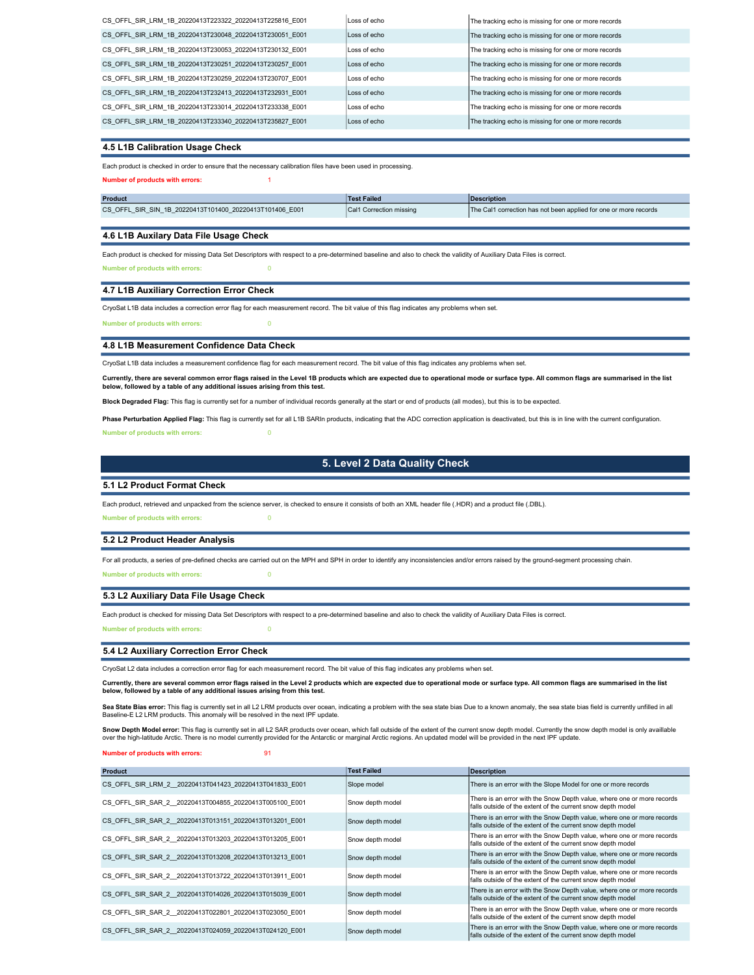| CS OFFL SIR LRM 1B 20220413T223322 20220413T225816 E001 | Loss of echo | The tracking echo is missing for one or more records |
|---------------------------------------------------------|--------------|------------------------------------------------------|
| CS OFFL SIR LRM 1B 20220413T230048 20220413T230051 E001 | Loss of echo | The tracking echo is missing for one or more records |
| CS OFFL SIR LRM 1B 20220413T230053 20220413T230132 E001 | Loss of echo | The tracking echo is missing for one or more records |
| CS OFFL SIR LRM 1B 20220413T230251 20220413T230257 E001 | Loss of echo | The tracking echo is missing for one or more records |
| CS OFFL SIR LRM 1B 20220413T230259 20220413T230707 E001 | Loss of echo | The tracking echo is missing for one or more records |
| CS OFFL SIR LRM 1B 20220413T232413 20220413T232931 E001 | Loss of echo | The tracking echo is missing for one or more records |
| CS OFFL SIR LRM 1B 20220413T233014 20220413T233338 E001 | Loss of echo | The tracking echo is missing for one or more records |
| CS OFFL SIR LRM 1B 20220413T233340 20220413T235827 E001 | Loss of echo | The tracking echo is missing for one or more records |

### 4.5 L1B Calibration Usage Check

Each product is checked in order to ensure that the necessary calibration files have been used in processing.

Number of products with errors: 1

| Product                                                 | <b>Test Failed</b>             | Description                                                      |
|---------------------------------------------------------|--------------------------------|------------------------------------------------------------------|
| CS OFFL SIR SIN 1B 20220413T101400 20220413T101406 E001 | <b>Cal1 Correction missing</b> | The Cal1 correction has not been applied for one or more records |

#### 4.6 L1B Auxilary Data File Usage Check

Each product is checked for missing Data Set Descriptors with respect to a pre-determined baseline and also to check the validity of Auxiliary Data Files is correct.

Number of products with errors: 0

## 4.7 L1B Auxiliary Correction Error Check

CryoSat L1B data includes a correction error flag for each measurement record. The bit value of this flag indicates any problems when set.

Number of products with errors: 0

## 4.8 L1B Measurement Confidence Data Check

CryoSat L1B data includes a measurement confidence flag for each measurement record. The bit value of this flag indicates any problems when set.

Currently, there are several common error flags raised in the Level 1B products which are expected due to operational mode or surface type. All common flags are summarised in the list below, followed by a table of any additional issues arising from this test.

Block Degraded Flag: This flag is currently set for a number of individual records generally at the start or end of products (all modes), but this is to be expected.

Phase Perturbation Applied Flag: This flag is currently set for all L1B SARIn products, indicating that the ADC correction application is deactivated, but this is in line with the current configuration.

Number of products with errors: 0

## 5. Level 2 Data Quality Check

## 5.1 L2 Product Format Check

Each product, retrieved and unpacked from the science server, is checked to ensure it consists of both an XML header file (.HDR) and a product file (.DBL).

Number of products with errors: 0

#### 5.2 L2 Product Header Analysis

For all products, a series of pre-defined checks are carried out on the MPH and SPH in order to identify any inconsistencies and/or errors raised by the ground-segment processing chain.

# 5.3 L2 Auxiliary Data File Usage Check

Number of products with errors: 0

Each product is checked for missing Data Set Descriptors with respect to a pre-determined baseline and also to check the validity of Auxiliary Data Files is correct.

Number of products with errors: 0

#### 5.4 L2 Auxiliary Correction Error Check

CryoSat L2 data includes a correction error flag for each measurement record. The bit value of this flag indicates any problems when set.

Currently, there are several common error flags raised in the Level 2 products which are expected due to operational mode or surface type. All common flags are summarised in the list below, followed by a table of any additional issues arising from this test.

Sea State Bias error: This flag is currently set in all L2 LRM products over ocean, indicating a problem with the sea state bias Doue to a known anomaly, the sea state bias field is currently unfilled in all Baseline-E L2 LRM products. This anomaly will be resolved in the next IPF update.

Snow Depth Model error: This flag is currently set in all L2 SAR products over ocean, which fall outside of the extent of the current snow depth model. Currently the snow depth model is only availlable over the high-latitude Arctic. There is no model currently provided for the Antarctic or marginal Arctic regions. An updated model will be provided in the next IPF update.

number of products with errors: 91

| Product                                                | <b>Test Failed</b> | <b>Description</b>                                                                                                                    |
|--------------------------------------------------------|--------------------|---------------------------------------------------------------------------------------------------------------------------------------|
| CS OFFL SIR LRM 2 20220413T041423 20220413T041833 E001 | Slope model        | There is an error with the Slope Model for one or more records                                                                        |
| CS OFFL SIR SAR 2 20220413T004855 20220413T005100 E001 | Snow depth model   | There is an error with the Snow Depth value, where one or more records<br>falls outside of the extent of the current snow depth model |
| CS OFFL SIR SAR 2 20220413T013151 20220413T013201 E001 | Snow depth model   | There is an error with the Snow Depth value, where one or more records<br>falls outside of the extent of the current snow depth model |
| CS OFFL SIR SAR 2 20220413T013203 20220413T013205 E001 | Snow depth model   | There is an error with the Snow Depth value, where one or more records<br>falls outside of the extent of the current snow depth model |
| CS OFFL SIR SAR 2 20220413T013208 20220413T013213 E001 | Snow depth model   | There is an error with the Snow Depth value, where one or more records<br>falls outside of the extent of the current snow depth model |
| CS OFFL SIR SAR 2 20220413T013722 20220413T013911 E001 | Snow depth model   | There is an error with the Snow Depth value, where one or more records<br>falls outside of the extent of the current snow depth model |
| CS OFFL SIR SAR 2 20220413T014026 20220413T015039 E001 | Snow depth model   | There is an error with the Snow Depth value, where one or more records<br>falls outside of the extent of the current snow depth model |
| CS OFFL SIR SAR 2 20220413T022801 20220413T023050 E001 | Snow depth model   | There is an error with the Snow Depth value, where one or more records<br>falls outside of the extent of the current snow depth model |
| CS OFFL SIR SAR 2 20220413T024059 20220413T024120 E001 | Snow depth model   | There is an error with the Snow Depth value, where one or more records<br>falls outside of the extent of the current snow depth model |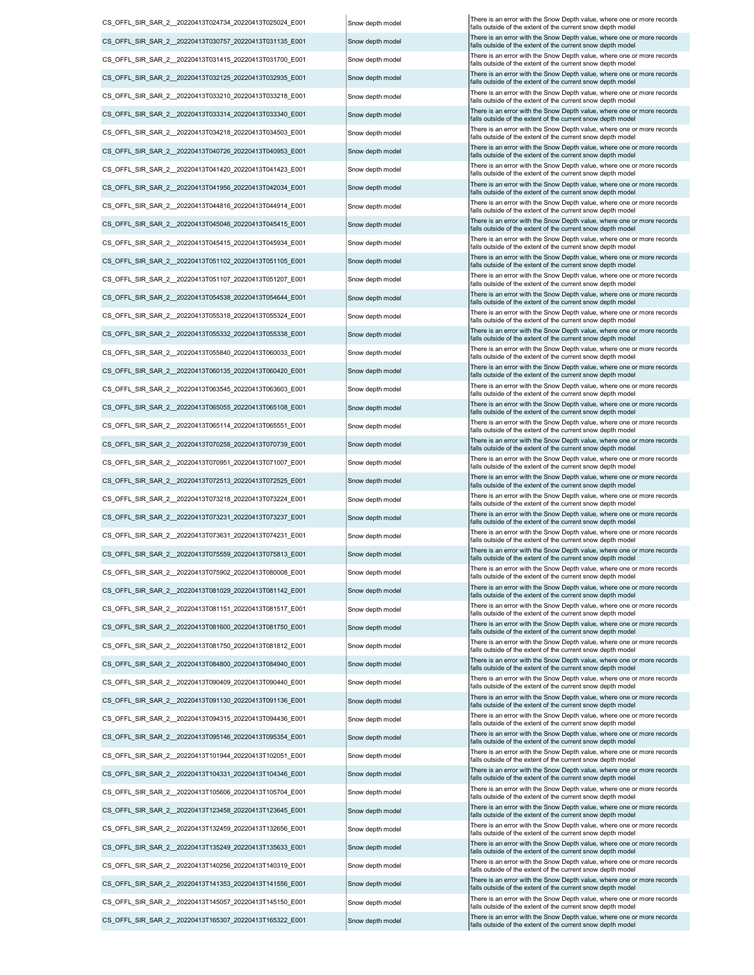CS\_OFFL\_SIR\_SAR\_2\_20220413T135249\_20220413T135633\_E001 Snow depth model There is an error with the Snow Depth value, where one or more records CS\_OFFL\_SIR\_SAR\_2\_20220413T140256\_20220413T140319\_E001 Snow depth model There is an error with the Snow Depth value, where one or more records CS\_OFFL\_SIR\_SAR\_2\_\_20220413T141353\_20220413T141556\_E001 Snow depth model There is an error with the Snow Depth value, where one or more records CS\_OFFL\_SIR\_SAR\_2\_\_20220413T145057\_20220413T145150\_E001 Snow depth model There is an error with the Snow Depth value, where one or more records CS\_OFFL\_SIR\_SAR\_2\_\_20220413T165307\_20220413T165322\_E001 Snow depth model There is an error with the Snow Depth value, where one or more records CS\_OFFL\_SIR\_SAR\_2\_\_20220413T095146\_20220413T095354\_E001 Snow depth model There is an error with the Snow Depth value, where one or more records CS\_OFFL\_SIR\_SAR\_2\_20220413T101944\_20220413T102051\_E001 Snow depth model There is an error with the Snow Depth value, where one or more records CS\_OFFL\_SIR\_SAR\_2\_\_20220413T104331\_20220413T104346\_E001 Snow depth model There is an error with the Snow Depth value, where one or more records CS\_OFFL\_SIR\_SAR\_2\_\_20220413T105606\_20220413T105704\_E001 Snow depth model There is an error with the Snow Depth value, where one or more records Snow Depth value, where one or more records Snow depth model CS\_OFFL\_SIR\_SAR\_2\_20220413T123458\_20220413T123645\_E001 Snow depth model There is an error with the Snow Depth value, where one or more records CS\_OFFL\_SIR\_SAR\_2\_\_20220413T132459\_20220413T132656\_E001 Snow depth model There is an error with the Snow Depth value, where one or model CS\_OFFL\_SIR\_SAR\_2\_\_20220413T081600\_20220413T081750\_E001 Snow depth model There is an error with the Snow Depth value, where one or more records CS\_OFFL\_SIR\_SAR\_2\_20220413T081750\_20220413T081812\_E001 Snow depth model There is an error with the Snow Depth value, where one or more records CS\_OFFL\_SIR\_SAR\_2\_\_20220413T084800\_20220413T084940\_E001 Snow depth model There is an error with the Snow Depth value, where one or more records CS\_OFFL\_SIR\_SAR\_2\_\_20220413T090409\_20220413T090440\_E001 Snow depth model There is an error with the Snow Depth value, where one or more records CS\_OFFL\_SIR\_SAR\_2\_\_20220413T091130\_20220413T091136\_E001 Snow depth model There is an error with the Snow Depth value, where one or more records CS\_OFFL\_SIR\_SAR\_2\_\_20220413T094315\_20220413T094436\_E001 Snow depth model There is an error with the Snow Depth value, where one or more records CS\_OFFL\_SIR\_SAR\_2\_\_20220413T073231\_20220413T073237\_E001 Snow depth model There is an error with the Snow Depth value, where one or more records CS\_OFFL\_SIR\_SAR\_2\_\_20220413T073631\_20220413T074231\_E001 Snow depth model There is an error with the Snow Depth value, where one or more records CS\_OFFL\_SIR\_SAR\_2\_\_20220413T075559\_20220413T075813\_E001 Snow depth model There is an error with the Snow Depth value, where one or more records CS\_OFFL\_SIR\_SAR\_2\_\_20220413T075902\_20220413T080008\_E001 Snow depth model There is an error with the Snow Depth value, where one or more records CS\_OFFL\_SIR\_SAR\_2\_\_20220413T081029\_20220413T081142\_E001 Snow depth model There is an error with the Snow Depth value, where one or more records CS\_OFFL\_SIR\_SAR\_2\_20220413T081151\_20220413T081517\_E001 Snow depth model There is an error with the Snow Depth value, where one or more records CS\_OFFL\_SIR\_SAR\_2\_\_20220413T065055\_20220413T065108\_E001 Snow depth model There is an error with the Snow Depth value, where one or more records CS\_OFFL\_SIR\_SAR\_2\_\_20220413T065114\_20220413T065551\_E001 Snow depth model There is an error with the Snow Depth value, where one or more records and the Snow Depth value, where one or more records and the Snow Depth value, CS\_OFFL\_SIR\_SAR\_2\_\_20220413T070258\_20220413T070739\_E001 Snow depth model There is an error with the Snow Depth value, where one or more records snow Depth value, where one or more records snow depth model falls outside of CS\_OFFL\_SIR\_SAR\_2\_20220413T070951\_20220413T071007\_E001 Snow depth model There is an error with the Snow Depth value, where one or more records CS\_OFFL\_SIR\_SAR\_2\_\_20220413T072513\_20220413T072525\_E001 Snow depth model There is an error with the Snow Depth value, where one or more records CS\_OFFL\_SIR\_SAR\_2\_20220413T073218\_20220413T073224\_E001 Snow depth model There is an error with the Snow Depth value, where one or more records CS\_OFFL\_SIR\_SAR\_2\_\_20220413T030757\_20220413T031135\_E001 CS\_OFFL\_SIR\_SAR\_2\_\_20220413T031415\_20220413T031700\_E001 CS\_OFFL\_SIR\_SAR\_2\_\_20220413T032125\_20220413T032935\_E001 CS\_OFFL\_SIR\_SAR\_2\_\_20220413T033210\_20220413T033218\_E001 CS\_OFFL\_SIR\_SAR\_2\_\_20220413T033314\_20220413T033340\_E001 CS\_OFFL\_SIR\_SAR\_2\_\_20220413T055318\_20220413T055324\_E001 CS\_OFFL\_SIR\_SAR\_2\_\_20220413T040726\_20220413T040953\_E001 CS\_OFFL\_SIR\_SAR\_2\_\_20220413T041420\_20220413T041423\_E001 CS\_OFFL\_SIR\_SAR\_2\_\_20220413T041956\_20220413T042034\_E001 CS\_OFFL\_SIR\_SAR\_2\_\_20220413T045046\_20220413T045415\_E001 CS\_OFFL\_SIR\_SAR\_2\_\_20220413T045415\_20220413T045934\_E001 CS\_OFFL\_SIR\_SAR\_2\_\_20220413T051102\_20220413T051105\_E001 CS\_OFFL\_SIR\_SAR\_2\_\_20220413T051107\_20220413T051207\_E001 CS\_OFFL\_SIR\_SAR\_2\_\_20220413T054538\_20220413T054644\_E001 CS\_OFFL\_SIR\_SAR\_2\_\_20220413T034218\_20220413T034503\_E001 CS\_OFFL\_SIR\_SAR\_2\_\_20220413T044816\_20220413T044914\_E001 CS\_OFFL\_SIR\_SAR\_2\_\_20220413T055332\_20220413T055338\_E001 CS\_OFFL\_SIR\_SAR\_2\_\_20220413T055840\_20220413T060033\_E001 CS\_OFFL\_SIR\_SAR\_2\_\_20220413T060135\_20220413T060420\_E001 CS\_OFFL\_SIR\_SAR\_2\_\_20220413T063545\_20220413T063603\_E001 CS\_OFFL\_SIR\_SAR\_2\_\_20220413T024734\_20220413T025024\_E001

Snow depth model Snow depth model Snow depth model Snow depth model Snow depth model Snow depth model Snow depth model Snow depth model Snow depth model now depth model Snow depth model Snow depth model Snow depth model Snow depth model Snow depth model Snow depth model Snow depth model now depth model Snow depth model Snow depth model Snow depth model

falls outside of the extent of the current snow depth model falls outside of the extent of the current snow depth model falls outside of the extent of the current snow depth model falls outside of the extent of the current snow depth model falls outside of the extent of the current snow depth model falls outside of the extent of the current snow depth mode falls outside of the extent of the current snow depth mode falls outside of the extent of the current snow depth model falls outside of the extent of the current snow depth mode falls outside of the extent of the current snow depth mode falls outside of the extent of the current snow depth model falls outside of the extent of the current snow depth mode falls outside of the extent of the current snow depth model falls outside of the extent of the current snow depth mode falls outside of the extent of the current snow depth mod falls outside of the extent of the current snow depth model falls outside of the extent of the current snow depth model falls outside of the extent of the current snow depth mode falls outside of the extent of the current snow depth mode falls outside of the extent of the current snow depth mode falls outside of the extent of the current snow depth model falls outside of the extent of the current snow depth model falls outside of the extent of the current snow depth mode falls outside of the extent of the current snow depth mode falls outside of the extent of the current snow depth mode falls outside of the extent of the current snow depth model falls outside of the extent of the current snow depth mode There is an error with the Snow Depth value, where one or more records falls outside of the extent of the current snow depth model There is an error with the Snow Depth value, where one or more records falls outside of the extent of the current snow depth mod There is an error with the Snow Depth value, where one or more records falls outside of the extent of the current snow depth model There is an error with the Snow Depth value, where one or more records falls outside of the extent of the current snow depth model There is an error with the Snow Depth value, where one or more records falls outside of the extent of the current snow depth model There is an error with the Snow Depth value, where one or more records falls outside of the extent of the current snow depth mode There is an error with the Snow Depth value, where one or more records falls outside of the extent of the current snow depth model There is an error with the Snow Depth value, where one or more records falls outside of the extent of the current snow depth model There is an error with the Snow Depth value, where one or more records falls outside of the extent of the current snow depth model There is an error with the Snow Depth value, where one or more records falls outside of the extent of the current snow depth mode There is an error with the Snow Depth value, where one or more records falls outside of the extent of the current snow depth model There is an error with the Snow Depth value, where one or more records falls outside of the extent of the current snow depth mode There is an error with the Snow Depth value, where one or more records falls outside of the extent of the current snow depth mode There is an error with the Snow Depth value, where one or more records falls outside of the extent of the current snow depth model There is an error with the Snow Depth value, where one or more records falls outside of the extent of the current snow depth model There is an error with the Snow Depth value, where one or more records falls outside of the extent of the current snow depth mode There is an error with the Snow Depth value, where one or more records falls outside of the extent of the current snow depth model There is an error with the Snow Depth value, where one or more records falls outside of the extent of the current snow depth mode There is an error with the Snow Depth value, where one or more records falls outside of the extent of the current snow depth mode There is an error with the Snow Depth value, where one or more records falls outside of the extent of the current snow depth model There is an error with the Snow Depth value, where one or more records falls outside of the extent of the current snow depth model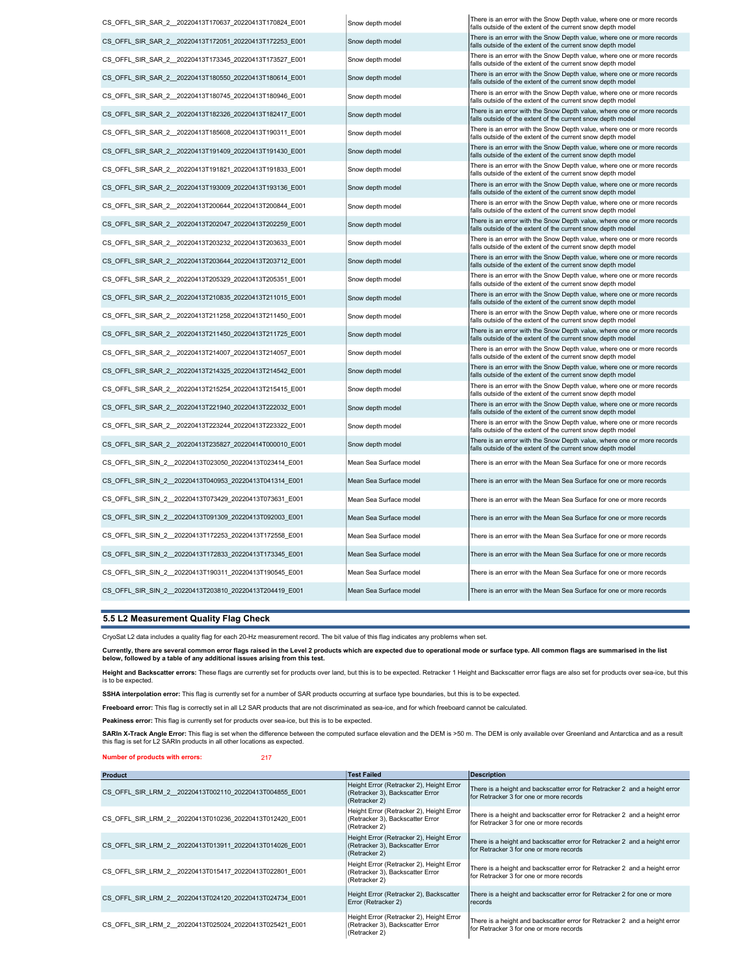| CS_OFFL_SIR_SAR_2_20220413T170637_20220413T170824_E001 | Snow depth model       | There is an error with the Snow Depth value, where one or more records<br>falls outside of the extent of the current snow depth model |
|--------------------------------------------------------|------------------------|---------------------------------------------------------------------------------------------------------------------------------------|
| CS OFFL SIR SAR 2 20220413T172051 20220413T172253 E001 | Snow depth model       | There is an error with the Snow Depth value, where one or more records<br>falls outside of the extent of the current snow depth model |
| CS OFFL SIR SAR 2 20220413T173345 20220413T173527 E001 | Snow depth model       | There is an error with the Snow Depth value, where one or more records<br>falls outside of the extent of the current snow depth model |
| CS OFFL SIR SAR 2 20220413T180550 20220413T180614 E001 | Snow depth model       | There is an error with the Snow Depth value, where one or more records<br>falls outside of the extent of the current snow depth model |
| CS OFFL SIR SAR 2 20220413T180745 20220413T180946 E001 | Snow depth model       | There is an error with the Snow Depth value, where one or more records<br>falls outside of the extent of the current snow depth model |
| CS_OFFL_SIR_SAR_2_20220413T182326_20220413T182417_E001 | Snow depth model       | There is an error with the Snow Depth value, where one or more records<br>falls outside of the extent of the current snow depth model |
| CS_OFFL_SIR_SAR_2_20220413T185608_20220413T190311_E001 | Snow depth model       | There is an error with the Snow Depth value, where one or more records<br>falls outside of the extent of the current snow depth model |
| CS OFFL SIR SAR 2 20220413T191409 20220413T191430 E001 | Snow depth model       | There is an error with the Snow Depth value, where one or more records<br>falls outside of the extent of the current snow depth model |
| CS_OFFL_SIR_SAR_2_20220413T191821_20220413T191833_E001 | Snow depth model       | There is an error with the Snow Depth value, where one or more records<br>falls outside of the extent of the current snow depth model |
| CS OFFL SIR SAR 2 20220413T193009 20220413T193136 E001 | Snow depth model       | There is an error with the Snow Depth value, where one or more records<br>falls outside of the extent of the current snow depth model |
| CS OFFL SIR SAR 2 20220413T200644 20220413T200844 E001 | Snow depth model       | There is an error with the Snow Depth value, where one or more records<br>falls outside of the extent of the current snow depth model |
| CS OFFL SIR SAR 2 20220413T202047 20220413T202259 E001 | Snow depth model       | There is an error with the Snow Depth value, where one or more records<br>falls outside of the extent of the current snow depth model |
| CS OFFL SIR SAR 2 20220413T203232 20220413T203633 E001 | Snow depth model       | There is an error with the Snow Depth value, where one or more records<br>falls outside of the extent of the current snow depth model |
| CS_OFFL_SIR_SAR_2_20220413T203644_20220413T203712_E001 | Snow depth model       | There is an error with the Snow Depth value, where one or more records<br>falls outside of the extent of the current snow depth model |
| CS_OFFL_SIR_SAR_2_20220413T205329_20220413T205351_E001 | Snow depth model       | There is an error with the Snow Depth value, where one or more records<br>falls outside of the extent of the current snow depth model |
| CS_OFFL_SIR_SAR_2_20220413T210835_20220413T211015_E001 | Snow depth model       | There is an error with the Snow Depth value, where one or more records<br>falls outside of the extent of the current snow depth model |
| CS_OFFL_SIR_SAR_2_20220413T211258_20220413T211450_E001 | Snow depth model       | There is an error with the Snow Depth value, where one or more records<br>falls outside of the extent of the current snow depth model |
| CS OFFL SIR SAR 2 20220413T211450 20220413T211725 E001 | Snow depth model       | There is an error with the Snow Depth value, where one or more records<br>falls outside of the extent of the current snow depth model |
| CS OFFL SIR SAR 2 20220413T214007 20220413T214057 E001 | Snow depth model       | There is an error with the Snow Depth value, where one or more records<br>falls outside of the extent of the current snow depth model |
| CS OFFL SIR SAR 2 20220413T214325 20220413T214542 E001 | Snow depth model       | There is an error with the Snow Depth value, where one or more records<br>falls outside of the extent of the current snow depth model |
| CS OFFL SIR SAR 2 20220413T215254 20220413T215415 E001 | Snow depth model       | There is an error with the Snow Depth value, where one or more records<br>falls outside of the extent of the current snow depth model |
| CS_OFFL_SIR_SAR_2_20220413T221940_20220413T222032_E001 | Snow depth model       | There is an error with the Snow Depth value, where one or more records<br>falls outside of the extent of the current snow depth model |
| CS OFFL SIR SAR 2 20220413T223244 20220413T223322 E001 | Snow depth model       | There is an error with the Snow Depth value, where one or more records<br>falls outside of the extent of the current snow depth model |
| CS OFFL SIR SAR 2 20220413T235827 20220414T000010 E001 | Snow depth model       | There is an error with the Snow Depth value, where one or more records<br>falls outside of the extent of the current snow depth model |
| CS_OFFL_SIR_SIN_2_20220413T023050_20220413T023414_E001 | Mean Sea Surface model | There is an error with the Mean Sea Surface for one or more records                                                                   |
| CS OFFL SIR SIN 2 20220413T040953 20220413T041314 E001 | Mean Sea Surface model | There is an error with the Mean Sea Surface for one or more records                                                                   |
| CS OFFL SIR SIN 2 20220413T073429 20220413T073631 E001 | Mean Sea Surface model | There is an error with the Mean Sea Surface for one or more records                                                                   |
| CS OFFL SIR SIN 2 20220413T091309 20220413T092003 E001 | Mean Sea Surface model | There is an error with the Mean Sea Surface for one or more records                                                                   |
| CS OFFL SIR SIN 2 20220413T172253 20220413T172558 E001 | Mean Sea Surface model | There is an error with the Mean Sea Surface for one or more records                                                                   |
| CS_OFFL_SIR_SIN_2_20220413T172833_20220413T173345_E001 | Mean Sea Surface model | There is an error with the Mean Sea Surface for one or more records                                                                   |
| CS_OFFL_SIR_SIN_2_20220413T190311_20220413T190545_E001 | Mean Sea Surface model | There is an error with the Mean Sea Surface for one or more records                                                                   |
| CS OFFL SIR SIN 2 20220413T203810 20220413T204419 E001 | Mean Sea Surface model | There is an error with the Mean Sea Surface for one or more records                                                                   |

# 5.5 L2 Measurement Quality Flag Check

CryoSat L2 data includes a quality flag for each 20-Hz measurement record. The bit value of this flag indicates any problems when set.

Currently, there are several common error flags raised in the Level 2 products which are expected due to operational mode or surface type. All common flags are summarised in the list below, followed by a table of any additional issues arising from this test.

Height and Backscatter errors: These flags are currently set for products over land, but this is to be expected. Retracker 1 Height and Backscatter error flags are also set for products over sea-ice, but this is to be expected.

SSHA interpolation error: This flag is currently set for a number of SAR products occurring at surface type boundaries, but this is to be expected.

Freeboard error: This flag is correctly set in all L2 SAR products that are not discriminated as sea-ice, and for which freeboard cannot be calculated.

Peakiness error: This flag is currently set for products over sea-ice, but this is to be expected.

**SARIn X-Track Angle Error**: This flag is set when the difference between the computed surface elevation and the DEM is >50 m. The DEM is only available over Greenland and Antarctica and as a result<br>this flag is set for L2

Number of products with errors: 217

| Product                                                | <b>Test Failed</b>                                                                            | <b>Description</b>                                                                                                    |
|--------------------------------------------------------|-----------------------------------------------------------------------------------------------|-----------------------------------------------------------------------------------------------------------------------|
| CS OFFL SIR LRM 2 20220413T002110 20220413T004855 E001 | Height Error (Retracker 2), Height Error<br>(Retracker 3), Backscatter Error<br>(Retracker 2) | There is a height and backscatter error for Retracker 2 and a height error<br>for Retracker 3 for one or more records |
| CS OFFL SIR LRM 2 20220413T010236 20220413T012420 E001 | Height Error (Retracker 2), Height Error<br>(Retracker 3), Backscatter Error<br>(Retracker 2) | There is a height and backscatter error for Retracker 2 and a height error<br>for Retracker 3 for one or more records |
| CS OFFL SIR LRM 2 20220413T013911 20220413T014026 E001 | Height Error (Retracker 2), Height Error<br>(Retracker 3), Backscatter Error<br>(Retracker 2) | There is a height and backscatter error for Retracker 2 and a height error<br>for Retracker 3 for one or more records |
| CS OFFL SIR LRM 2 20220413T015417 20220413T022801 E001 | Height Error (Retracker 2), Height Error<br>(Retracker 3), Backscatter Error<br>(Retracker 2) | There is a height and backscatter error for Retracker 2 and a height error<br>for Retracker 3 for one or more records |
| CS OFFL SIR LRM 2 20220413T024120 20220413T024734 E001 | Height Error (Retracker 2), Backscatter<br>Error (Retracker 2)                                | There is a height and backscatter error for Retracker 2 for one or more<br>records                                    |
| CS OFFL SIR LRM 2 20220413T025024 20220413T025421 E001 | Height Error (Retracker 2), Height Error<br>(Retracker 3), Backscatter Error<br>(Retracker 2) | There is a height and backscatter error for Retracker 2 and a height error<br>for Retracker 3 for one or more records |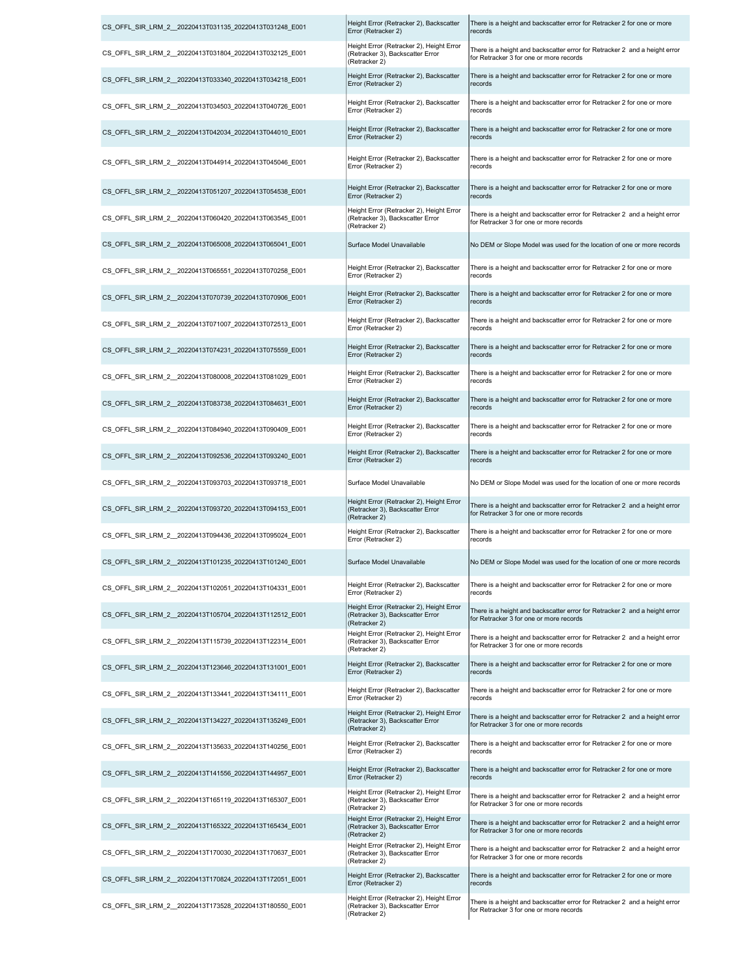| CS OFFL SIR LRM 2 20220413T031135 20220413T031248 E001 | Height Error (Retracker 2), Backscatter<br>Error (Retracker 2)                                | There is a height and backscatter error for Retracker 2 for one or more<br>records                                    |
|--------------------------------------------------------|-----------------------------------------------------------------------------------------------|-----------------------------------------------------------------------------------------------------------------------|
| CS OFFL SIR LRM 2 20220413T031804 20220413T032125 E001 | Height Error (Retracker 2), Height Error<br>(Retracker 3), Backscatter Error<br>(Retracker 2) | There is a height and backscatter error for Retracker 2 and a height error<br>for Retracker 3 for one or more records |
| CS OFFL SIR LRM 2 20220413T033340 20220413T034218 E001 | Height Error (Retracker 2), Backscatter<br>Error (Retracker 2)                                | There is a height and backscatter error for Retracker 2 for one or more<br>records                                    |
| CS OFFL SIR LRM 2 20220413T034503 20220413T040726 E001 | Height Error (Retracker 2), Backscatter<br>Error (Retracker 2)                                | There is a height and backscatter error for Retracker 2 for one or more<br>records                                    |
| CS OFFL SIR LRM 2 20220413T042034 20220413T044010 E001 | Height Error (Retracker 2), Backscatter<br>Error (Retracker 2)                                | There is a height and backscatter error for Retracker 2 for one or more<br>records                                    |
| CS OFFL SIR LRM 2 20220413T044914 20220413T045046 E001 | Height Error (Retracker 2), Backscatter<br>Error (Retracker 2)                                | There is a height and backscatter error for Retracker 2 for one or more<br>records                                    |
| CS OFFL SIR LRM 2 20220413T051207 20220413T054538 E001 | Height Error (Retracker 2), Backscatter<br>Error (Retracker 2)                                | There is a height and backscatter error for Retracker 2 for one or more<br>records                                    |
| CS_OFFL_SIR_LRM_2_20220413T060420_20220413T063545_E001 | Height Error (Retracker 2), Height Error<br>(Retracker 3), Backscatter Error<br>(Retracker 2) | There is a height and backscatter error for Retracker 2 and a height error<br>for Retracker 3 for one or more records |
| CS OFFL SIR LRM 2 20220413T065008 20220413T065041 E001 | Surface Model Unavailable                                                                     | No DEM or Slope Model was used for the location of one or more records                                                |
| CS OFFL SIR LRM 2 20220413T065551 20220413T070258 E001 | Height Error (Retracker 2), Backscatter<br>Error (Retracker 2)                                | There is a height and backscatter error for Retracker 2 for one or more<br>records                                    |
| CS OFFL SIR LRM 2 20220413T070739 20220413T070906 E001 | Height Error (Retracker 2), Backscatter<br>Error (Retracker 2)                                | There is a height and backscatter error for Retracker 2 for one or more<br>records                                    |
| CS OFFL SIR LRM 2 20220413T071007 20220413T072513 E001 | Height Error (Retracker 2), Backscatter<br>Error (Retracker 2)                                | There is a height and backscatter error for Retracker 2 for one or more<br>records                                    |
| CS OFFL SIR LRM 2 20220413T074231 20220413T075559 E001 | Height Error (Retracker 2), Backscatter<br>Error (Retracker 2)                                | There is a height and backscatter error for Retracker 2 for one or more<br>records                                    |
| CS OFFL SIR LRM 2 20220413T080008 20220413T081029 E001 | Height Error (Retracker 2), Backscatter<br>Error (Retracker 2)                                | There is a height and backscatter error for Retracker 2 for one or more<br>records                                    |
| CS OFFL SIR LRM 2 20220413T083738 20220413T084631 E001 | Height Error (Retracker 2), Backscatter<br>Error (Retracker 2)                                | There is a height and backscatter error for Retracker 2 for one or more<br>records                                    |
| CS OFFL SIR LRM 2 20220413T084940 20220413T090409 E001 | Height Error (Retracker 2), Backscatter<br>Error (Retracker 2)                                | There is a height and backscatter error for Retracker 2 for one or more<br>records                                    |
| CS OFFL SIR LRM 2 20220413T092536 20220413T093240 E001 | Height Error (Retracker 2), Backscatter<br>Error (Retracker 2)                                | There is a height and backscatter error for Retracker 2 for one or more<br>records                                    |
| CS OFFL SIR LRM 2 20220413T093703 20220413T093718 E001 | Surface Model Unavailable                                                                     | No DEM or Slope Model was used for the location of one or more records                                                |
| CS OFFL SIR LRM 2 20220413T093720 20220413T094153 E001 | Height Error (Retracker 2), Height Error<br>(Retracker 3), Backscatter Error<br>(Retracker 2) | There is a height and backscatter error for Retracker 2 and a height error<br>for Retracker 3 for one or more records |
| CS OFFL SIR LRM 2 20220413T094436 20220413T095024 E001 | Height Error (Retracker 2), Backscatter<br>Error (Retracker 2)                                | There is a height and backscatter error for Retracker 2 for one or more<br>records                                    |
| CS_OFFL_SIR_LRM_2_20220413T101235_20220413T101240_E001 | Surface Model Unavailable                                                                     | No DEM or Slope Model was used for the location of one or more records                                                |
| CS OFFL SIR LRM 2 20220413T102051 20220413T104331 E001 | Height Error (Retracker 2), Backscatter<br>Error (Retracker 2)                                | There is a height and backscatter error for Retracker 2 for one or more<br>records                                    |
| CS OFFL SIR LRM 2 20220413T105704 20220413T112512 E001 | Height Error (Retracker 2), Height Error<br>(Retracker 3), Backscatter Error<br>(Retracker 2) | There is a height and backscatter error for Retracker 2 and a height error<br>for Retracker 3 for one or more records |
| CS_OFFL_SIR_LRM_2_20220413T115739_20220413T122314_E001 | Height Error (Retracker 2), Height Error<br>(Retracker 3), Backscatter Error<br>(Retracker 2) | There is a height and backscatter error for Retracker 2 and a height error<br>for Retracker 3 for one or more records |
| CS OFFL SIR LRM 2 20220413T123646 20220413T131001 E001 | Height Error (Retracker 2), Backscatter<br>Error (Retracker 2)                                | There is a height and backscatter error for Retracker 2 for one or more<br>records                                    |
| CS OFFL SIR LRM 2 20220413T133441 20220413T134111 E001 | Height Error (Retracker 2), Backscatter<br>Error (Retracker 2)                                | There is a height and backscatter error for Retracker 2 for one or more<br>records                                    |
| CS_OFFL_SIR_LRM_2_20220413T134227_20220413T135249_E001 | Height Error (Retracker 2), Height Error<br>(Retracker 3), Backscatter Error<br>(Retracker 2) | There is a height and backscatter error for Retracker 2 and a height error<br>for Retracker 3 for one or more records |
| CS OFFL SIR LRM 2 20220413T135633 20220413T140256 E001 | Height Error (Retracker 2), Backscatter<br>Error (Retracker 2)                                | There is a height and backscatter error for Retracker 2 for one or more<br>records                                    |
| CS OFFL SIR LRM 2 20220413T141556 20220413T144957 E001 | Height Error (Retracker 2), Backscatter<br>Error (Retracker 2)                                | There is a height and backscatter error for Retracker 2 for one or more<br>records                                    |
| CS OFFL SIR LRM 2 20220413T165119 20220413T165307 E001 | Height Error (Retracker 2), Height Error<br>(Retracker 3), Backscatter Error<br>(Retracker 2) | There is a height and backscatter error for Retracker 2 and a height error<br>for Retracker 3 for one or more records |
| CS OFFL SIR LRM 2 20220413T165322 20220413T165434 E001 | Height Error (Retracker 2), Height Error<br>(Retracker 3), Backscatter Error<br>(Retracker 2) | There is a height and backscatter error for Retracker 2 and a height error<br>for Retracker 3 for one or more records |
| CS OFFL SIR LRM 2 20220413T170030 20220413T170637 E001 | Height Error (Retracker 2), Height Error<br>(Retracker 3), Backscatter Error<br>(Retracker 2) | There is a height and backscatter error for Retracker 2 and a height error<br>for Retracker 3 for one or more records |
| CS OFFL SIR LRM 2 20220413T170824 20220413T172051 E001 | Height Error (Retracker 2), Backscatter<br>Error (Retracker 2)                                | There is a height and backscatter error for Retracker 2 for one or more<br>records                                    |
| CS_OFFL_SIR_LRM_2_20220413T173528_20220413T180550_E001 | Height Error (Retracker 2), Height Error<br>(Retracker 3), Backscatter Error<br>(Retracker 2) | There is a height and backscatter error for Retracker 2 and a height error<br>for Retracker 3 for one or more records |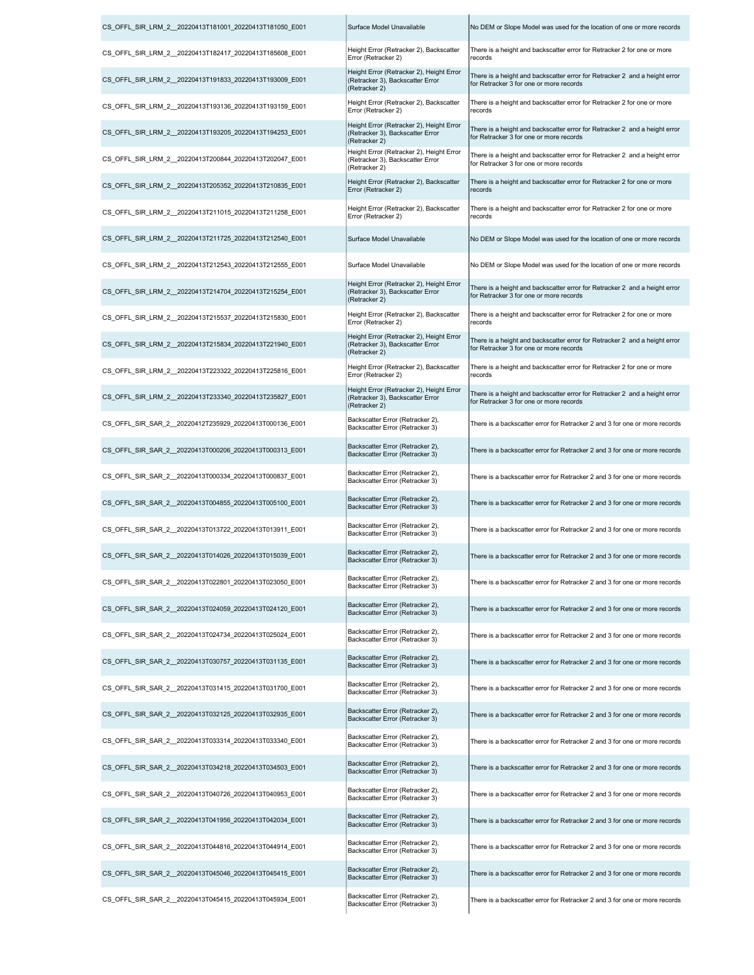| CS OFFL SIR LRM 2 20220413T181001 20220413T181050 E001  | Surface Model Unavailable                                                                     | No DEM or Slope Model was used for the location of one or more records                                                |
|---------------------------------------------------------|-----------------------------------------------------------------------------------------------|-----------------------------------------------------------------------------------------------------------------------|
| CS_OFFL_SIR_LRM_2__20220413T182417_20220413T185608_E001 | Height Error (Retracker 2), Backscatter<br>Error (Retracker 2)                                | There is a height and backscatter error for Retracker 2 for one or more<br>records                                    |
| CS_OFFL_SIR_LRM_2__20220413T191833_20220413T193009_E001 | Height Error (Retracker 2), Height Error<br>(Retracker 3), Backscatter Error<br>(Retracker 2) | There is a height and backscatter error for Retracker 2 and a height error<br>for Retracker 3 for one or more records |
| CS OFFL SIR LRM 2 20220413T193136 20220413T193159 E001  | Height Error (Retracker 2), Backscatter<br>Error (Retracker 2)                                | There is a height and backscatter error for Retracker 2 for one or more<br>records                                    |
| CS OFFL SIR LRM 2 20220413T193205 20220413T194253 E001  | Height Error (Retracker 2), Height Error<br>(Retracker 3), Backscatter Error<br>(Retracker 2) | There is a height and backscatter error for Retracker 2 and a height error<br>for Retracker 3 for one or more records |
| CS_OFFL_SIR_LRM_2_20220413T200844_20220413T202047_E001  | Height Error (Retracker 2), Height Error<br>(Retracker 3), Backscatter Error<br>(Retracker 2) | There is a height and backscatter error for Retracker 2 and a height error<br>for Retracker 3 for one or more records |
| CS_OFFL_SIR_LRM_2_20220413T205352_20220413T210835_E001  | Height Error (Retracker 2), Backscatter<br>Error (Retracker 2)                                | There is a height and backscatter error for Retracker 2 for one or more<br>records                                    |
| CS_OFFL_SIR_LRM_2_20220413T211015_20220413T211258_E001  | Height Error (Retracker 2), Backscatter<br>Error (Retracker 2)                                | There is a height and backscatter error for Retracker 2 for one or more<br>records                                    |
| CS_OFFL_SIR_LRM_2_20220413T211725_20220413T212540_E001  | Surface Model Unavailable                                                                     | No DEM or Slope Model was used for the location of one or more records                                                |
| CS OFFL SIR LRM 2 20220413T212543 20220413T212555 E001  | Surface Model Unavailable                                                                     | No DEM or Slope Model was used for the location of one or more records                                                |
| CS OFFL SIR LRM 2 20220413T214704 20220413T215254 E001  | Height Error (Retracker 2), Height Error<br>(Retracker 3), Backscatter Error<br>(Retracker 2) | There is a height and backscatter error for Retracker 2 and a height error<br>for Retracker 3 for one or more records |
| CS_OFFL_SIR_LRM_2_20220413T215537_20220413T215830_E001  | Height Error (Retracker 2), Backscatter<br>Error (Retracker 2)                                | There is a height and backscatter error for Retracker 2 for one or more<br>records                                    |
| CS OFFL SIR LRM 2 20220413T215834 20220413T221940 E001  | Height Error (Retracker 2), Height Error<br>(Retracker 3), Backscatter Error<br>(Retracker 2) | There is a height and backscatter error for Retracker 2 and a height error<br>for Retracker 3 for one or more records |
| CS OFFL SIR LRM 2 20220413T223322 20220413T225816 E001  | Height Error (Retracker 2), Backscatter<br>Error (Retracker 2)                                | There is a height and backscatter error for Retracker 2 for one or more<br>records                                    |
| CS_OFFL_SIR_LRM_2_20220413T233340_20220413T235827_E001  | Height Error (Retracker 2), Height Error<br>(Retracker 3), Backscatter Error<br>(Retracker 2) | There is a height and backscatter error for Retracker 2 and a height error<br>for Retracker 3 for one or more records |
| CS OFFL SIR SAR 2 20220412T235929 20220413T000136 E001  | Backscatter Error (Retracker 2),<br>Backscatter Error (Retracker 3)                           | There is a backscatter error for Retracker 2 and 3 for one or more records                                            |
| CS OFFL SIR SAR 2 20220413T000206 20220413T000313 E001  | Backscatter Error (Retracker 2),<br>Backscatter Error (Retracker 3)                           | There is a backscatter error for Retracker 2 and 3 for one or more records                                            |
| CS OFFL SIR SAR 2 20220413T000334 20220413T000837 E001  | Backscatter Error (Retracker 2),<br>Backscatter Error (Retracker 3)                           | There is a backscatter error for Retracker 2 and 3 for one or more records                                            |
| CS_OFFL_SIR_SAR_2_20220413T004855_20220413T005100_E001  | Backscatter Error (Retracker 2),<br>Backscatter Error (Retracker 3)                           | There is a backscatter error for Retracker 2 and 3 for one or more records                                            |
| CS OFFL SIR SAR 2 20220413T013722 20220413T013911 E001  | Backscatter Error (Retracker 2),<br>Backscatter Error (Retracker 3)                           | There is a backscatter error for Retracker 2 and 3 for one or more records                                            |
| CS_OFFL_SIR_SAR_2__20220413T014026_20220413T015039_E001 | Backscatter Error (Retracker 2),<br>Backscatter Error (Retracker 3)                           | There is a backscatter error for Retracker 2 and 3 for one or more records                                            |
| CS OFFL SIR SAR 2 20220413T022801 20220413T023050 E001  | Backscatter Error (Retracker 2),<br>Backscatter Error (Retracker 3)                           | There is a backscatter error for Retracker 2 and 3 for one or more records                                            |
| CS OFFL SIR SAR 2 20220413T024059 20220413T024120 E001  | Backscatter Error (Retracker 2),<br>Backscatter Error (Retracker 3)                           | There is a backscatter error for Retracker 2 and 3 for one or more records                                            |
| CS OFFL SIR SAR 2 20220413T024734 20220413T025024 E001  | Backscatter Error (Retracker 2),<br>Backscatter Error (Retracker 3)                           | There is a backscatter error for Retracker 2 and 3 for one or more records                                            |
| CS_OFFL_SIR_SAR_2__20220413T030757_20220413T031135_E001 | Backscatter Error (Retracker 2),<br>Backscatter Error (Retracker 3)                           | There is a backscatter error for Retracker 2 and 3 for one or more records                                            |
| CS OFFL SIR SAR 2 20220413T031415 20220413T031700 E001  | Backscatter Error (Retracker 2),<br>Backscatter Error (Retracker 3)                           | There is a backscatter error for Retracker 2 and 3 for one or more records                                            |
| CS OFFL SIR SAR 2 20220413T032125 20220413T032935 E001  | Backscatter Error (Retracker 2),<br>Backscatter Error (Retracker 3)                           | There is a backscatter error for Retracker 2 and 3 for one or more records                                            |
| CS_OFFL_SIR_SAR_2__20220413T033314_20220413T033340_E001 | Backscatter Error (Retracker 2),<br>Backscatter Error (Retracker 3)                           | There is a backscatter error for Retracker 2 and 3 for one or more records                                            |
| CS OFFL SIR SAR 2 20220413T034218 20220413T034503 E001  | Backscatter Error (Retracker 2),<br>Backscatter Error (Retracker 3)                           | There is a backscatter error for Retracker 2 and 3 for one or more records                                            |
| CS OFFL SIR SAR 2 20220413T040726 20220413T040953 E001  | Backscatter Error (Retracker 2),<br>Backscatter Error (Retracker 3)                           | There is a backscatter error for Retracker 2 and 3 for one or more records                                            |
| CS OFFL SIR SAR 2 20220413T041956 20220413T042034 E001  | Backscatter Error (Retracker 2),<br>Backscatter Error (Retracker 3)                           | There is a backscatter error for Retracker 2 and 3 for one or more records                                            |
| CS_OFFL_SIR_SAR_2__20220413T044816_20220413T044914_E001 | Backscatter Error (Retracker 2),<br>Backscatter Error (Retracker 3)                           | There is a backscatter error for Retracker 2 and 3 for one or more records                                            |
| CS OFFL SIR SAR 2 20220413T045046 20220413T045415 E001  | Backscatter Error (Retracker 2),<br>Backscatter Error (Retracker 3)                           | There is a backscatter error for Retracker 2 and 3 for one or more records                                            |
| CS_OFFL_SIR_SAR_2__20220413T045415_20220413T045934_E001 | Backscatter Error (Retracker 2),<br>Backscatter Error (Retracker 3)                           | There is a backscatter error for Retracker 2 and 3 for one or more records                                            |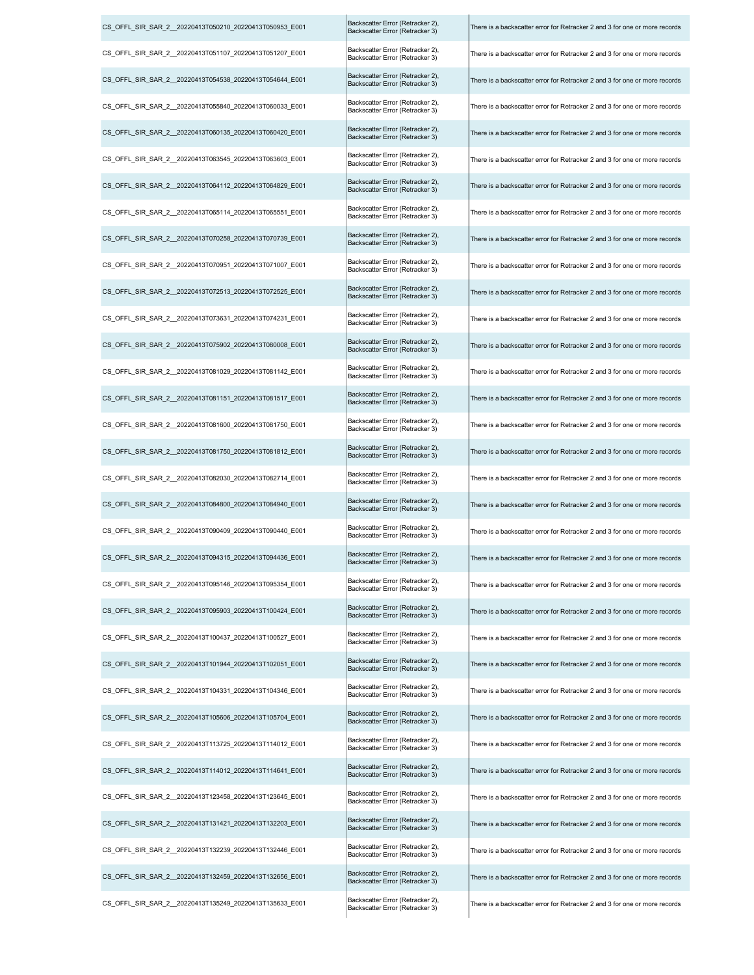| CS_OFFL_SIR_SAR_2__20220413T050210_20220413T050953_E001 | Backscatter Error (Retracker 2),<br>Backscatter Error (Retracker 3) | There is a backscatter error for Retracker 2 and 3 for one or more records |
|---------------------------------------------------------|---------------------------------------------------------------------|----------------------------------------------------------------------------|
| CS_OFFL_SIR_SAR_2__20220413T051107_20220413T051207_E001 | Backscatter Error (Retracker 2),<br>Backscatter Error (Retracker 3) | There is a backscatter error for Retracker 2 and 3 for one or more records |
| CS_OFFL_SIR_SAR_2__20220413T054538_20220413T054644_E001 | Backscatter Error (Retracker 2),<br>Backscatter Error (Retracker 3) | There is a backscatter error for Retracker 2 and 3 for one or more records |
| CS_OFFL_SIR_SAR_2__20220413T055840_20220413T060033_E001 | Backscatter Error (Retracker 2),<br>Backscatter Error (Retracker 3) | There is a backscatter error for Retracker 2 and 3 for one or more records |
| CS_OFFL_SIR_SAR_2__20220413T060135_20220413T060420_E001 | Backscatter Error (Retracker 2),<br>Backscatter Error (Retracker 3) | There is a backscatter error for Retracker 2 and 3 for one or more records |
| CS_OFFL_SIR_SAR_2_20220413T063545_20220413T063603_E001  | Backscatter Error (Retracker 2),<br>Backscatter Error (Retracker 3) | There is a backscatter error for Retracker 2 and 3 for one or more records |
| CS OFFL SIR SAR 2 20220413T064112 20220413T064829 E001  | Backscatter Error (Retracker 2),<br>Backscatter Error (Retracker 3) | There is a backscatter error for Retracker 2 and 3 for one or more records |
| CS_OFFL_SIR_SAR_2__20220413T065114_20220413T065551_E001 | Backscatter Error (Retracker 2),<br>Backscatter Error (Retracker 3) | There is a backscatter error for Retracker 2 and 3 for one or more records |
| CS_OFFL_SIR_SAR_2__20220413T070258_20220413T070739_E001 | Backscatter Error (Retracker 2),<br>Backscatter Error (Retracker 3) | There is a backscatter error for Retracker 2 and 3 for one or more records |
| CS_OFFL_SIR_SAR_2__20220413T070951_20220413T071007_E001 | Backscatter Error (Retracker 2),<br>Backscatter Error (Retracker 3) | There is a backscatter error for Retracker 2 and 3 for one or more records |
| CS_OFFL_SIR_SAR_2__20220413T072513_20220413T072525_E001 | Backscatter Error (Retracker 2),<br>Backscatter Error (Retracker 3) | There is a backscatter error for Retracker 2 and 3 for one or more records |
| CS_OFFL_SIR_SAR_2__20220413T073631_20220413T074231_E001 | Backscatter Error (Retracker 2),<br>Backscatter Error (Retracker 3) | There is a backscatter error for Retracker 2 and 3 for one or more records |
| CS_OFFL_SIR_SAR_2__20220413T075902_20220413T080008_E001 | Backscatter Error (Retracker 2),<br>Backscatter Error (Retracker 3) | There is a backscatter error for Retracker 2 and 3 for one or more records |
| CS OFFL SIR SAR 2 20220413T081029 20220413T081142 E001  | Backscatter Error (Retracker 2),<br>Backscatter Error (Retracker 3) | There is a backscatter error for Retracker 2 and 3 for one or more records |
| CS_OFFL_SIR_SAR_2__20220413T081151_20220413T081517_E001 | Backscatter Error (Retracker 2),<br>Backscatter Error (Retracker 3) | There is a backscatter error for Retracker 2 and 3 for one or more records |
| CS_OFFL_SIR_SAR_2__20220413T081600_20220413T081750_E001 | Backscatter Error (Retracker 2),<br>Backscatter Error (Retracker 3) | There is a backscatter error for Retracker 2 and 3 for one or more records |
| CS_OFFL_SIR_SAR_2__20220413T081750_20220413T081812_E001 | Backscatter Error (Retracker 2),<br>Backscatter Error (Retracker 3) | There is a backscatter error for Retracker 2 and 3 for one or more records |
| CS_OFFL_SIR_SAR_2_20220413T082030_20220413T082714_E001  | Backscatter Error (Retracker 2),<br>Backscatter Error (Retracker 3) | There is a backscatter error for Retracker 2 and 3 for one or more records |
| CS_OFFL_SIR_SAR_2__20220413T084800_20220413T084940_E001 | Backscatter Error (Retracker 2),<br>Backscatter Error (Retracker 3) | There is a backscatter error for Retracker 2 and 3 for one or more records |
| CS OFFL SIR SAR 2 20220413T090409 20220413T090440 E001  | Backscatter Error (Retracker 2),<br>Backscatter Error (Retracker 3) | There is a backscatter error for Retracker 2 and 3 for one or more records |
| CS OFFL SIR SAR 2 20220413T094315 20220413T094436 E001  | Backscatter Error (Retracker 2),<br>Backscatter Error (Retracker 3) | There is a backscatter error for Retracker 2 and 3 for one or more records |
| CS_OFFL_SIR_SAR_2__20220413T095146_20220413T095354_E001 | Backscatter Error (Retracker 2),<br>Backscatter Error (Retracker 3) | There is a backscatter error for Retracker 2 and 3 for one or more records |
| CS OFFL SIR SAR 2 20220413T095903 20220413T100424 E001  | Backscatter Error (Retracker 2),<br>Backscatter Error (Retracker 3) | There is a backscatter error for Retracker 2 and 3 for one or more records |
| CS OFFL SIR SAR 2 20220413T100437 20220413T100527 E001  | Backscatter Error (Retracker 2),<br>Backscatter Error (Retracker 3) | There is a backscatter error for Retracker 2 and 3 for one or more records |
| CS_OFFL_SIR_SAR_2__20220413T101944_20220413T102051_E001 | Backscatter Error (Retracker 2),<br>Backscatter Error (Retracker 3) | There is a backscatter error for Retracker 2 and 3 for one or more records |
| CS OFFL SIR SAR 2 20220413T104331 20220413T104346 E001  | Backscatter Error (Retracker 2),<br>Backscatter Error (Retracker 3) | There is a backscatter error for Retracker 2 and 3 for one or more records |
| CS_OFFL_SIR_SAR_2__20220413T105606_20220413T105704_E001 | Backscatter Error (Retracker 2),<br>Backscatter Error (Retracker 3) | There is a backscatter error for Retracker 2 and 3 for one or more records |
| CS_OFFL_SIR_SAR_2_20220413T113725_20220413T114012_E001  | Backscatter Error (Retracker 2),<br>Backscatter Error (Retracker 3) | There is a backscatter error for Retracker 2 and 3 for one or more records |
| CS OFFL SIR SAR 2 20220413T114012 20220413T114641 E001  | Backscatter Error (Retracker 2),<br>Backscatter Error (Retracker 3) | There is a backscatter error for Retracker 2 and 3 for one or more records |
| CS_OFFL_SIR_SAR_2__20220413T123458_20220413T123645_E001 | Backscatter Error (Retracker 2),<br>Backscatter Error (Retracker 3) | There is a backscatter error for Retracker 2 and 3 for one or more records |
| CS_OFFL_SIR_SAR_2__20220413T131421_20220413T132203_E001 | Backscatter Error (Retracker 2),<br>Backscatter Error (Retracker 3) | There is a backscatter error for Retracker 2 and 3 for one or more records |
| CS_OFFL_SIR_SAR_2__20220413T132239_20220413T132446_E001 | Backscatter Error (Retracker 2),<br>Backscatter Error (Retracker 3) | There is a backscatter error for Retracker 2 and 3 for one or more records |
| CS OFFL SIR SAR 2 20220413T132459 20220413T132656 E001  | Backscatter Error (Retracker 2),<br>Backscatter Error (Retracker 3) | There is a backscatter error for Retracker 2 and 3 for one or more records |
| CS_OFFL_SIR_SAR_2__20220413T135249_20220413T135633_E001 | Backscatter Error (Retracker 2),<br>Rackscatter Frror (Retracker 3) | There is a backscatter error for Retracker 2 and 3 for one or more records |

| catter Error (Retracker 3)                                | There is a backscatter error for Ketracker 2 and 3 for one or more records |
|-----------------------------------------------------------|----------------------------------------------------------------------------|
| catter Error (Retracker 2),<br>catter Error (Retracker 3) | There is a backscatter error for Retracker 2 and 3 for one or more records |
| catter Error (Retracker 2),<br>catter Error (Retracker 3) | There is a backscatter error for Retracker 2 and 3 for one or more records |
| catter Error (Retracker 2),<br>catter Error (Retracker 3) | There is a backscatter error for Retracker 2 and 3 for one or more records |
| catter Error (Retracker 2),<br>catter Error (Retracker 3) | There is a backscatter error for Retracker 2 and 3 for one or more records |
| catter Error (Retracker 2),<br>catter Error (Retracker 3) | There is a backscatter error for Retracker 2 and 3 for one or more records |
| catter Error (Retracker 2),<br>catter Error (Retracker 3) | There is a backscatter error for Retracker 2 and 3 for one or more records |
| catter Error (Retracker 2),<br>catter Error (Retracker 3) | There is a backscatter error for Retracker 2 and 3 for one or more records |
| catter Error (Retracker 2),<br>catter Error (Retracker 3) | There is a backscatter error for Retracker 2 and 3 for one or more records |
| catter Error (Retracker 2),<br>catter Error (Retracker 3) | There is a backscatter error for Retracker 2 and 3 for one or more records |
| catter Error (Retracker 2),<br>catter Error (Retracker 3) | There is a backscatter error for Retracker 2 and 3 for one or more records |
| catter Error (Retracker 2),<br>catter Error (Retracker 3) | There is a backscatter error for Retracker 2 and 3 for one or more records |
| catter Error (Retracker 2),<br>catter Error (Retracker 3) | There is a backscatter error for Retracker 2 and 3 for one or more records |
| catter Error (Retracker 2),<br>catter Error (Retracker 3) | There is a backscatter error for Retracker 2 and 3 for one or more records |
| catter Error (Retracker 2),<br>catter Error (Retracker 3) | There is a backscatter error for Retracker 2 and 3 for one or more records |
| catter Error (Retracker 2),<br>catter Error (Retracker 3) | There is a backscatter error for Retracker 2 and 3 for one or more records |
| catter Error (Retracker 2),<br>catter Error (Retracker 3) | There is a backscatter error for Retracker 2 and 3 for one or more records |
| catter Error (Retracker 2),<br>catter Error (Retracker 3) | There is a backscatter error for Retracker 2 and 3 for one or more records |
| catter Error (Retracker 2),<br>catter Error (Retracker 3) | There is a backscatter error for Retracker 2 and 3 for one or more records |
| catter Error (Retracker 2),<br>catter Error (Retracker 3) | There is a backscatter error for Retracker 2 and 3 for one or more records |
| catter Error (Retracker 2),<br>catter Error (Retracker 3) | There is a backscatter error for Retracker 2 and 3 for one or more records |
| catter Error (Retracker 2),<br>catter Error (Retracker 3) | There is a backscatter error for Retracker 2 and 3 for one or more records |
| catter Error (Retracker 2),<br>catter Error (Retracker 3) | There is a backscatter error for Retracker 2 and 3 for one or more records |
| catter Error (Retracker 2),<br>catter Error (Retracker 3) | There is a backscatter error for Retracker 2 and 3 for one or more records |
| catter Error (Retracker 2),<br>catter Error (Retracker 3) | There is a backscatter error for Retracker 2 and 3 for one or more records |
| catter Error (Retracker 2),<br>catter Error (Retracker 3) | There is a backscatter error for Retracker 2 and 3 for one or more records |
| catter Error (Retracker 2),<br>catter Error (Retracker 3) | There is a backscatter error for Retracker 2 and 3 for one or more records |
| catter Error (Retracker 2),<br>catter Error (Retracker 3) | There is a backscatter error for Retracker 2 and 3 for one or more records |
| catter Error (Retracker 2),<br>catter Error (Retracker 3) | There is a backscatter error for Retracker 2 and 3 for one or more records |
| catter Error (Retracker 2),<br>catter Error (Retracker 3) | There is a backscatter error for Retracker 2 and 3 for one or more records |
| catter Error (Retracker 2),<br>catter Error (Retracker 3) | There is a backscatter error for Retracker 2 and 3 for one or more records |
| catter Error (Retracker 2),<br>catter Error (Retracker 3) | There is a backscatter error for Retracker 2 and 3 for one or more records |
| catter Error (Retracker 2),<br>catter Error (Retracker 3) | There is a backscatter error for Retracker 2 and 3 for one or more records |
| catter Error (Retracker 2),<br>catter Error (Retracker 3) | There is a backscatter error for Retracker 2 and 3 for one or more records |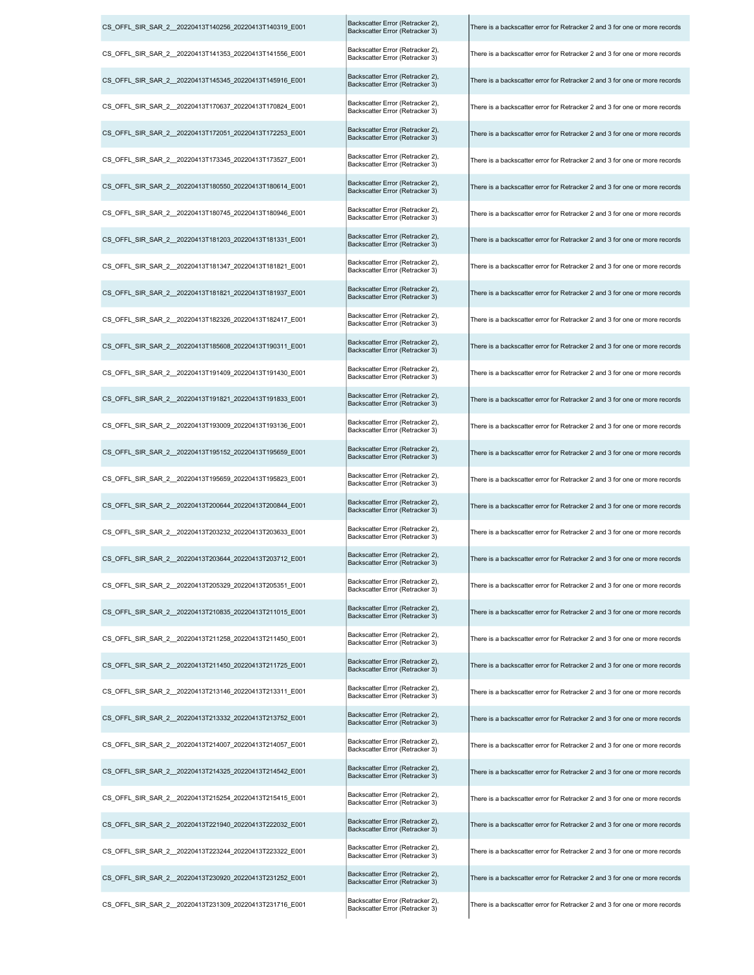| CS_OFFL_SIR_SAR_2_20220413T140256_20220413T140319_E001  | Backscatter Error (Retracker 2),<br>Backscatter Error (Retracker 3) | There is a backscatter error for Retracker 2 and 3 for one or more records |
|---------------------------------------------------------|---------------------------------------------------------------------|----------------------------------------------------------------------------|
| CS OFFL SIR SAR 2 20220413T141353 20220413T141556 E001  | Backscatter Error (Retracker 2),<br>Backscatter Error (Retracker 3) | There is a backscatter error for Retracker 2 and 3 for one or more records |
| CS_OFFL_SIR_SAR_2_20220413T145345_20220413T145916_E001  | Backscatter Error (Retracker 2),<br>Backscatter Error (Retracker 3) | There is a backscatter error for Retracker 2 and 3 for one or more records |
| CS_OFFL_SIR_SAR_2_20220413T170637_20220413T170824_E001  | Backscatter Error (Retracker 2),<br>Backscatter Error (Retracker 3) | There is a backscatter error for Retracker 2 and 3 for one or more records |
| CS_OFFL_SIR_SAR_2_20220413T172051_20220413T172253_E001  | Backscatter Error (Retracker 2),<br>Backscatter Error (Retracker 3) | There is a backscatter error for Retracker 2 and 3 for one or more records |
| CS OFFL SIR SAR 2 20220413T173345 20220413T173527 E001  | Backscatter Error (Retracker 2),<br>Backscatter Error (Retracker 3) | There is a backscatter error for Retracker 2 and 3 for one or more records |
| CS OFFL SIR SAR 2 20220413T180550 20220413T180614 E001  | Backscatter Error (Retracker 2),<br>Backscatter Error (Retracker 3) | There is a backscatter error for Retracker 2 and 3 for one or more records |
| CS_OFFL_SIR_SAR_2_20220413T180745_20220413T180946_E001  | Backscatter Error (Retracker 2),<br>Backscatter Error (Retracker 3) | There is a backscatter error for Retracker 2 and 3 for one or more records |
| CS_OFFL_SIR_SAR_2_20220413T181203_20220413T181331_E001  | Backscatter Error (Retracker 2),<br>Backscatter Error (Retracker 3) | There is a backscatter error for Retracker 2 and 3 for one or more records |
| CS_OFFL_SIR_SAR_2_20220413T181347_20220413T181821_E001  | Backscatter Error (Retracker 2),<br>Backscatter Error (Retracker 3) | There is a backscatter error for Retracker 2 and 3 for one or more records |
| CS_OFFL_SIR_SAR_2_20220413T181821_20220413T181937_E001  | Backscatter Error (Retracker 2),<br>Backscatter Error (Retracker 3) | There is a backscatter error for Retracker 2 and 3 for one or more records |
| CS_OFFL_SIR_SAR_2_20220413T182326_20220413T182417_E001  | Backscatter Error (Retracker 2),<br>Backscatter Error (Retracker 3) | There is a backscatter error for Retracker 2 and 3 for one or more records |
| CS_OFFL_SIR_SAR_2_20220413T185608_20220413T190311_E001  | Backscatter Error (Retracker 2),<br>Backscatter Error (Retracker 3) | There is a backscatter error for Retracker 2 and 3 for one or more records |
| CS_OFFL_SIR_SAR_2_20220413T191409_20220413T191430_E001  | Backscatter Error (Retracker 2),<br>Backscatter Error (Retracker 3) | There is a backscatter error for Retracker 2 and 3 for one or more records |
| CS_OFFL_SIR_SAR_2_20220413T191821_20220413T191833_E001  | Backscatter Error (Retracker 2),<br>Backscatter Error (Retracker 3) | There is a backscatter error for Retracker 2 and 3 for one or more records |
| CS_OFFL_SIR_SAR_2_20220413T193009_20220413T193136_E001  | Backscatter Error (Retracker 2),<br>Backscatter Error (Retracker 3) | There is a backscatter error for Retracker 2 and 3 for one or more records |
| CS_OFFL_SIR_SAR_2__20220413T195152_20220413T195659_E001 | Backscatter Error (Retracker 2),<br>Backscatter Error (Retracker 3) | There is a backscatter error for Retracker 2 and 3 for one or more records |
| CS_OFFL_SIR_SAR_2_20220413T195659_20220413T195823_E001  | Backscatter Error (Retracker 2),<br>Backscatter Error (Retracker 3) | There is a backscatter error for Retracker 2 and 3 for one or more records |
| CS OFFL SIR SAR 2 20220413T200644 20220413T200844 E001  | Backscatter Error (Retracker 2),<br>Backscatter Error (Retracker 3) | There is a backscatter error for Retracker 2 and 3 for one or more records |
| CS OFFL SIR SAR 2 20220413T203232 20220413T203633 E001  | Backscatter Error (Retracker 2),<br>Backscatter Error (Retracker 3) | There is a backscatter error for Retracker 2 and 3 for one or more records |
| CS_OFFL_SIR_SAR_2_20220413T203644_20220413T203712_E001  | Backscatter Error (Retracker 2),<br>Backscatter Error (Retracker 3) | There is a backscatter error for Retracker 2 and 3 for one or more records |
| CS OFFL SIR SAR 2 20220413T205329 20220413T205351 E001  | Backscatter Error (Retracker 2),<br>Backscatter Error (Retracker 3) | There is a backscatter error for Retracker 2 and 3 for one or more records |
| CS_OFFL_SIR_SAR_2_20220413T210835_20220413T211015_E001  | Backscatter Error (Retracker 2),<br>Backscatter Error (Retracker 3) | There is a backscatter error for Retracker 2 and 3 for one or more records |
| CS_OFFL_SIR_SAR_2_20220413T211258_20220413T211450_E001  | Backscatter Error (Retracker 2),<br>Backscatter Error (Retracker 3) | There is a backscatter error for Retracker 2 and 3 for one or more records |
| CS_OFFL_SIR_SAR_2_20220413T211450_20220413T211725_E001  | Backscatter Error (Retracker 2),<br>Backscatter Error (Retracker 3) | There is a backscatter error for Retracker 2 and 3 for one or more records |
| CS_OFFL_SIR_SAR_2_20220413T213146_20220413T213311_E001  | Backscatter Error (Retracker 2),<br>Backscatter Error (Retracker 3) | There is a backscatter error for Retracker 2 and 3 for one or more records |
| CS OFFL SIR SAR 2 20220413T213332 20220413T213752 E001  | Backscatter Error (Retracker 2),<br>Backscatter Error (Retracker 3) | There is a backscatter error for Retracker 2 and 3 for one or more records |
| CS_OFFL_SIR_SAR_2_20220413T214007_20220413T214057_E001  | Backscatter Error (Retracker 2),<br>Backscatter Error (Retracker 3) | There is a backscatter error for Retracker 2 and 3 for one or more records |
| CS_OFFL_SIR_SAR_2_20220413T214325_20220413T214542_E001  | Backscatter Error (Retracker 2),<br>Backscatter Error (Retracker 3) | There is a backscatter error for Retracker 2 and 3 for one or more records |
| CS_OFFL_SIR_SAR_2_20220413T215254_20220413T215415_E001  | Backscatter Error (Retracker 2),<br>Backscatter Error (Retracker 3) | There is a backscatter error for Retracker 2 and 3 for one or more records |
| CS_OFFL_SIR_SAR_2_20220413T221940_20220413T222032_E001  | Backscatter Error (Retracker 2),<br>Backscatter Error (Retracker 3) | There is a backscatter error for Retracker 2 and 3 for one or more records |
| CS OFFL SIR SAR 2 20220413T223244 20220413T223322 E001  | Backscatter Error (Retracker 2),<br>Backscatter Error (Retracker 3) | There is a backscatter error for Retracker 2 and 3 for one or more records |
| CS_OFFL_SIR_SAR_2_20220413T230920_20220413T231252_E001  | Backscatter Error (Retracker 2),<br>Backscatter Error (Retracker 3) | There is a backscatter error for Retracker 2 and 3 for one or more records |
| CS_OFFL_SIR_SAR_2_20220413T231309_20220413T231716_E001  | Backscatter Error (Retracker 2),<br>Backscatter Error (Retracker 3) | There is a backscatter error for Retracker 2 and 3 for one or more records |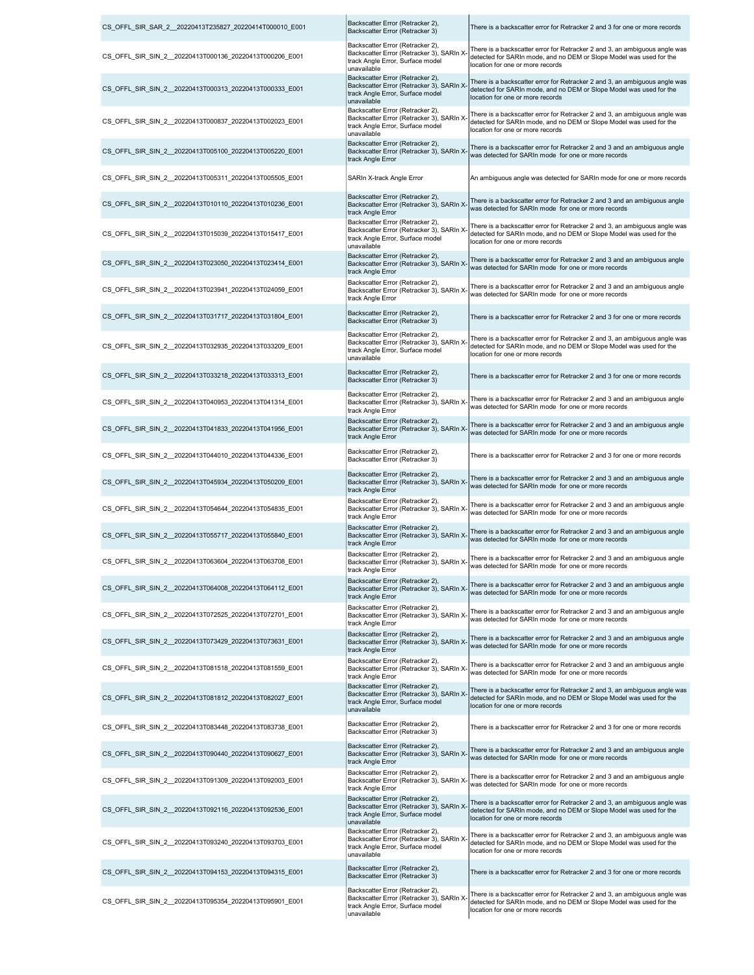| CS_OFFL_SIR_SAR_2_20220413T235827_20220414T000010_E001  | Backscatter Error (Retracker 2),<br>Backscatter Error (Retracker 3)                                                             | There is a backscatter error for Retracker 2 and 3 for one or more records                                                                                                            |
|---------------------------------------------------------|---------------------------------------------------------------------------------------------------------------------------------|---------------------------------------------------------------------------------------------------------------------------------------------------------------------------------------|
| CS_OFFL_SIR_SIN_2_20220413T000136_20220413T000206_E001  | Backscatter Error (Retracker 2),<br>Backscatter Error (Retracker 3), SARIn X<br>track Angle Error, Surface model<br>unavailable | There is a backscatter error for Retracker 2 and 3, an ambiguous angle was<br>detected for SARIn mode, and no DEM or Slope Model was used for the<br>location for one or more records |
| CS OFFL SIR SIN 2 20220413T000313 20220413T000333 E001  | Backscatter Error (Retracker 2),<br>Backscatter Error (Retracker 3), SARIn X<br>track Angle Error, Surface model<br>unavailable | There is a backscatter error for Retracker 2 and 3, an ambiguous angle was<br>detected for SARIn mode, and no DEM or Slope Model was used for the<br>location for one or more records |
| CS_OFFL_SIR_SIN_2_20220413T000837_20220413T002023_E001  | Backscatter Error (Retracker 2),<br>Backscatter Error (Retracker 3), SARIn X<br>track Angle Error, Surface model<br>unavailable | There is a backscatter error for Retracker 2 and 3, an ambiguous angle was<br>detected for SARIn mode, and no DEM or Slope Model was used for the<br>location for one or more records |
| CS OFFL SIR SIN 2 20220413T005100 20220413T005220 E001  | Backscatter Error (Retracker 2),<br>Backscatter Error (Retracker 3), SARIn X<br>track Angle Error                               | There is a backscatter error for Retracker 2 and 3 and an ambiguous angle<br>was detected for SARIn mode for one or more records                                                      |
| CS OFFL SIR SIN 2 20220413T005311 20220413T005505 E001  | SARIn X-track Angle Error                                                                                                       | An ambiguous angle was detected for SARIn mode for one or more records                                                                                                                |
| CS_OFFL_SIR_SIN_2_20220413T010110_20220413T010236_E001  | Backscatter Error (Retracker 2),<br>Backscatter Error (Retracker 3), SARIn X<br>track Angle Error                               | There is a backscatter error for Retracker 2 and 3 and an ambiguous angle<br>was detected for SARIn mode for one or more records                                                      |
| CS_OFFL_SIR_SIN_2_20220413T015039_20220413T015417_E001  | Backscatter Error (Retracker 2),<br>Backscatter Error (Retracker 3), SARIn X<br>track Angle Error, Surface model<br>unavailable | There is a backscatter error for Retracker 2 and 3, an ambiguous angle was<br>detected for SARIn mode, and no DEM or Slope Model was used for the<br>location for one or more records |
| CS_OFFL_SIR_SIN_2_20220413T023050_20220413T023414_E001  | Backscatter Error (Retracker 2),<br>Backscatter Error (Retracker 3), SARIn X<br>track Angle Error                               | There is a backscatter error for Retracker 2 and 3 and an ambiguous angle<br>was detected for SARIn mode for one or more records                                                      |
| CS_OFFL_SIR_SIN_2_20220413T023941_20220413T024059_E001  | Backscatter Error (Retracker 2),<br>Backscatter Error (Retracker 3), SARIn X<br>track Angle Error                               | There is a backscatter error for Retracker 2 and 3 and an ambiguous angle<br>was detected for SARIn mode for one or more records                                                      |
| CS_OFFL_SIR_SIN_2_20220413T031717_20220413T031804_E001  | Backscatter Error (Retracker 2),<br>Backscatter Error (Retracker 3)                                                             | There is a backscatter error for Retracker 2 and 3 for one or more records                                                                                                            |
| CS OFFL SIR SIN 2 20220413T032935 20220413T033209 E001  | Backscatter Error (Retracker 2),<br>Backscatter Error (Retracker 3), SARIn X<br>track Angle Error, Surface model<br>unavailable | There is a backscatter error for Retracker 2 and 3, an ambiguous angle was<br>detected for SARIn mode, and no DEM or Slope Model was used for the<br>location for one or more records |
| CS_OFFL_SIR_SIN_2_20220413T033218_20220413T033313_E001  | Backscatter Error (Retracker 2),<br>Backscatter Error (Retracker 3)                                                             | There is a backscatter error for Retracker 2 and 3 for one or more records                                                                                                            |
| CS_OFFL_SIR_SIN_2_20220413T040953_20220413T041314_E001  | Backscatter Error (Retracker 2),<br>Backscatter Error (Retracker 3), SARIn X<br>track Angle Error                               | There is a backscatter error for Retracker 2 and 3 and an ambiguous angle<br>was detected for SARIn mode for one or more records                                                      |
| CS OFFL SIR SIN 2 20220413T041833 20220413T041956 E001  | Backscatter Error (Retracker 2),<br>Backscatter Error (Retracker 3), SARIn X<br>track Angle Error                               | There is a backscatter error for Retracker 2 and 3 and an ambiguous angle<br>was detected for SARIn mode for one or more records                                                      |
| CS_OFFL_SIR_SIN_2_20220413T044010_20220413T044336_E001  | Backscatter Error (Retracker 2),<br>Backscatter Error (Retracker 3)                                                             | There is a backscatter error for Retracker 2 and 3 for one or more records                                                                                                            |
| CS_OFFL_SIR_SIN_2_20220413T045934_20220413T050209_E001  | Backscatter Error (Retracker 2),<br>Backscatter Error (Retracker 3), SARIn X<br>track Angle Error                               | There is a backscatter error for Retracker 2 and 3 and an ambiguous angle<br>was detected for SARIn mode for one or more records                                                      |
| CS_OFFL_SIR_SIN_2_20220413T054644_20220413T054835_E001  | Backscatter Error (Retracker 2),<br>Backscatter Error (Retracker 3), SARIn X<br>track Angle Error                               | There is a backscatter error for Retracker 2 and 3 and an ambiguous angle<br>was detected for SARIn mode for one or more records                                                      |
| CS_OFFL_SIR_SIN_2_20220413T055717_20220413T055840_E001  | Backscatter Error (Retracker 2),<br>Backscatter Error (Retracker 3), SARIn X-<br>track Angle Error                              | There is a backscatter error for Retracker 2 and 3 and an ambiguous angle<br>was detected for SARIn mode for one or more records                                                      |
| CS_OFFL_SIR_SIN_2__20220413T063604_20220413T063708_E001 | Backscatter Error (Retracker 2),<br>Backscatter Error (Retracker 3), SARIn X-<br>track Angle Error                              | There is a backscatter error for Retracker 2 and 3 and an ambiguous angle<br>was detected for SARIn mode for one or more records                                                      |
| CS OFFL SIR SIN 2 20220413T064008 20220413T064112 E001  | Backscatter Error (Retracker 2),<br>Backscatter Error (Retracker 3), SARIn X-<br>track Angle Error                              | There is a backscatter error for Retracker 2 and 3 and an ambiguous angle<br>was detected for SARIn mode for one or more records                                                      |
| CS_OFFL_SIR_SIN_2_20220413T072525_20220413T072701_E001  | Backscatter Error (Retracker 2),<br>Backscatter Error (Retracker 3), SARIn X-<br>track Angle Error                              | There is a backscatter error for Retracker 2 and 3 and an ambiguous angle<br>was detected for SARIn mode for one or more records                                                      |
| CS_OFFL_SIR_SIN_2_20220413T073429_20220413T073631_E001  | Backscatter Error (Retracker 2),<br>Backscatter Error (Retracker 3), SARIn X<br>track Angle Error                               | There is a backscatter error for Retracker 2 and 3 and an ambiguous angle<br>was detected for SARIn mode for one or more records                                                      |
| CS_OFFL_SIR_SIN_2_20220413T081518_20220413T081559_E001  | Backscatter Error (Retracker 2),<br>Backscatter Error (Retracker 3), SARIn X<br>track Angle Error                               | There is a backscatter error for Retracker 2 and 3 and an ambiguous angle<br>was detected for SARIn mode for one or more records                                                      |
| CS_OFFL_SIR_SIN_2_20220413T081812_20220413T082027_E001  | Backscatter Error (Retracker 2),<br>Backscatter Error (Retracker 3), SARIn X<br>track Angle Error, Surface model<br>unavailable | There is a backscatter error for Retracker 2 and 3, an ambiguous angle was<br>detected for SARIn mode, and no DEM or Slope Model was used for the<br>location for one or more records |
| CS_OFFL_SIR_SIN_2_20220413T083448_20220413T083738_E001  | Backscatter Error (Retracker 2),<br>Backscatter Error (Retracker 3)                                                             | There is a backscatter error for Retracker 2 and 3 for one or more records                                                                                                            |
| CS OFFL SIR SIN 2 20220413T090440 20220413T090627 E001  | Backscatter Error (Retracker 2),<br>Backscatter Error (Retracker 3), SARIn X<br>track Angle Error                               | There is a backscatter error for Retracker 2 and 3 and an ambiguous angle<br>was detected for SARIn mode for one or more records                                                      |
| CS_OFFL_SIR_SIN_2_20220413T091309_20220413T092003_E001  | Backscatter Error (Retracker 2),<br>Backscatter Error (Retracker 3), SARIn X-<br>track Angle Error                              | There is a backscatter error for Retracker 2 and 3 and an ambiguous angle<br>was detected for SARIn mode for one or more records                                                      |
| CS_OFFL_SIR_SIN_2_20220413T092116_20220413T092536_E001  | Backscatter Error (Retracker 2),<br>Backscatter Error (Retracker 3), SARIn X<br>track Angle Error, Surface model<br>unavailable | There is a backscatter error for Retracker 2 and 3, an ambiguous angle was<br>detected for SARIn mode, and no DEM or Slope Model was used for the<br>location for one or more records |
| CS OFFL SIR SIN 2 20220413T093240 20220413T093703 E001  | Backscatter Error (Retracker 2),<br>Backscatter Error (Retracker 3), SARIn X<br>track Angle Error, Surface model<br>unavailable | There is a backscatter error for Retracker 2 and 3, an ambiguous angle was<br>detected for SARIn mode, and no DEM or Slope Model was used for the<br>location for one or more records |
| CS OFFL SIR SIN 2 20220413T094153 20220413T094315 E001  | Backscatter Error (Retracker 2),<br>Backscatter Error (Retracker 3)                                                             | There is a backscatter error for Retracker 2 and 3 for one or more records                                                                                                            |
| CS OFFL SIR SIN 2 20220413T095354 20220413T095901 E001  | Backscatter Error (Retracker 2),<br>Backscatter Error (Retracker 3), SARIn X<br>track Angle Error, Surface model<br>unavailable | There is a backscatter error for Retracker 2 and 3, an ambiguous angle was<br>detected for SARIn mode, and no DEM or Slope Model was used for the<br>location for one or more records |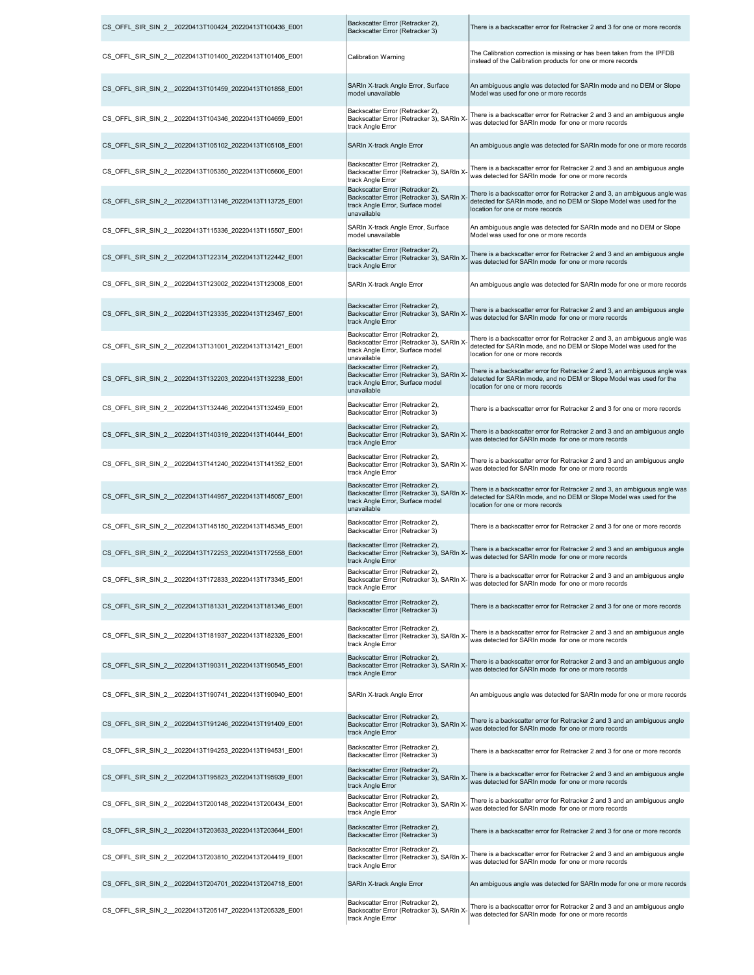| CS OFFL SIR SIN 2 20220413T100424 20220413T100436 E001 | Backscatter Error (Retracker 2),<br>Backscatter Error (Retracker 3)                                                             | There is a backscatter error for Retracker 2 and 3 for one or more records                                                                                                            |
|--------------------------------------------------------|---------------------------------------------------------------------------------------------------------------------------------|---------------------------------------------------------------------------------------------------------------------------------------------------------------------------------------|
| CS_OFFL_SIR_SIN_2_20220413T101400_20220413T101406_E001 | Calibration Warning                                                                                                             | The Calibration correction is missing or has been taken from the IPFDB<br>instead of the Calibration products for one or more records                                                 |
| CS OFFL SIR SIN 2 20220413T101459 20220413T101858 E001 | SARIn X-track Angle Error, Surface<br>model unavailable                                                                         | An ambiguous angle was detected for SARIn mode and no DEM or Slope<br>Model was used for one or more records                                                                          |
| CS OFFL SIR SIN 2 20220413T104346 20220413T104659 E001 | Backscatter Error (Retracker 2),<br>Backscatter Error (Retracker 3), SARIn X<br>track Angle Error                               | There is a backscatter error for Retracker 2 and 3 and an ambiguous angle<br>was detected for SARIn mode for one or more records                                                      |
| CS_OFFL_SIR_SIN_2_20220413T105102_20220413T105108_E001 | SARIn X-track Angle Error                                                                                                       | An ambiguous angle was detected for SARIn mode for one or more records                                                                                                                |
| CS OFFL SIR SIN 2 20220413T105350 20220413T105606 E001 | Backscatter Error (Retracker 2),<br>Backscatter Error (Retracker 3), SARIn X<br>track Angle Error                               | There is a backscatter error for Retracker 2 and 3 and an ambiguous angle<br>was detected for SARIn mode for one or more records                                                      |
| CS_OFFL_SIR_SIN_2_20220413T113146_20220413T113725_E001 | Backscatter Error (Retracker 2),<br>Backscatter Error (Retracker 3), SARIn X<br>track Angle Error, Surface model<br>unavailable | There is a backscatter error for Retracker 2 and 3, an ambiguous angle was<br>detected for SARIn mode, and no DEM or Slope Model was used for the<br>location for one or more records |
| CS_OFFL_SIR_SIN_2_20220413T115336_20220413T115507_E001 | SARIn X-track Angle Error, Surface<br>model unavailable                                                                         | An ambiguous angle was detected for SARIn mode and no DEM or Slope<br>Model was used for one or more records                                                                          |
| CS_OFFL_SIR_SIN_2_20220413T122314_20220413T122442_E001 | Backscatter Error (Retracker 2),<br>Backscatter Error (Retracker 3), SARIn X<br>track Angle Error                               | There is a backscatter error for Retracker 2 and 3 and an ambiguous angle<br>was detected for SARIn mode for one or more records                                                      |
| CS_OFFL_SIR_SIN_2_20220413T123002_20220413T123008_E001 | SARIn X-track Angle Error                                                                                                       | An ambiguous angle was detected for SARIn mode for one or more records                                                                                                                |
| CS_OFFL_SIR_SIN_2_20220413T123335_20220413T123457_E001 | Backscatter Error (Retracker 2),<br>Backscatter Error (Retracker 3), SARIn X<br>track Angle Error                               | There is a backscatter error for Retracker 2 and 3 and an ambiguous angle<br>was detected for SARIn mode for one or more records                                                      |
| CS_OFFL_SIR_SIN_2_20220413T131001_20220413T131421_E001 | Backscatter Error (Retracker 2),<br>Backscatter Error (Retracker 3), SARIn X<br>track Angle Error, Surface model<br>unavailable | There is a backscatter error for Retracker 2 and 3, an ambiguous angle was<br>detected for SARIn mode, and no DEM or Slope Model was used for the<br>location for one or more records |
| CS_OFFL_SIR_SIN_2_20220413T132203_20220413T132238_E001 | Backscatter Error (Retracker 2),<br>Backscatter Error (Retracker 3), SARIn X<br>track Angle Error, Surface model<br>unavailable | There is a backscatter error for Retracker 2 and 3, an ambiguous angle was<br>detected for SARIn mode, and no DEM or Slope Model was used for the<br>location for one or more records |
| CS_OFFL_SIR_SIN_2_20220413T132446_20220413T132459_E001 | Backscatter Error (Retracker 2),<br>Backscatter Error (Retracker 3)                                                             | There is a backscatter error for Retracker 2 and 3 for one or more records                                                                                                            |
| CS_OFFL_SIR_SIN_2_20220413T140319_20220413T140444_E001 | Backscatter Error (Retracker 2),<br>Backscatter Error (Retracker 3), SARIn X<br>track Angle Error                               | There is a backscatter error for Retracker 2 and 3 and an ambiguous angle<br>was detected for SARIn mode for one or more records                                                      |
| CS_OFFL_SIR_SIN_2_20220413T141240_20220413T141352_E001 | Backscatter Error (Retracker 2),<br>Backscatter Error (Retracker 3), SARIn X-<br>track Angle Error                              | There is a backscatter error for Retracker 2 and 3 and an ambiguous angle<br>was detected for SARIn mode for one or more records                                                      |
| CS_OFFL_SIR_SIN_2_20220413T144957_20220413T145057_E001 | Backscatter Error (Retracker 2),<br>Backscatter Error (Retracker 3), SARIn X<br>track Angle Error, Surface model<br>unavailable | There is a backscatter error for Retracker 2 and 3, an ambiguous angle was<br>detected for SARIn mode, and no DEM or Slope Model was used for the<br>location for one or more records |
| CS_OFFL_SIR_SIN_2_20220413T145150_20220413T145345_E001 | Backscatter Error (Retracker 2),<br>Backscatter Error (Retracker 3)                                                             | There is a backscatter error for Retracker 2 and 3 for one or more records                                                                                                            |
| CS OFFL SIR SIN 2 20220413T172253 20220413T172558 E001 | Backscatter Error (Retracker 2),<br>Backscatter Error (Retracker 3), SARIn X-<br>track Angle Error                              | There is a backscatter error for Retracker 2 and 3 and an ambiguous angle<br>was detected for SARIn mode, for one or more records.                                                    |
| CS OFFL SIR SIN 2 20220413T172833 20220413T173345 E001 | Backscatter Error (Retracker 2),<br>Backscatter Error (Retracker 3), SARIn X<br>track Angle Error                               | There is a backscatter error for Retracker 2 and 3 and an ambiguous angle<br>was detected for SARIn mode for one or more records                                                      |
| CS OFFL SIR SIN 2 20220413T181331 20220413T181346 E001 | Backscatter Error (Retracker 2),<br>Backscatter Error (Retracker 3)                                                             | There is a backscatter error for Retracker 2 and 3 for one or more records                                                                                                            |
| CS OFFL SIR SIN 2 20220413T181937 20220413T182326 E001 | Backscatter Error (Retracker 2),<br>Backscatter Error (Retracker 3), SARIn X-<br>track Angle Error                              | There is a backscatter error for Retracker 2 and 3 and an ambiguous angle<br>was detected for SARIn mode for one or more records                                                      |
| CS OFFL SIR SIN 2 20220413T190311 20220413T190545 E001 | Backscatter Error (Retracker 2),<br>Backscatter Error (Retracker 3), SARIn X<br>track Angle Error                               | There is a backscatter error for Retracker 2 and 3 and an ambiguous angle<br>was detected for SARIn mode for one or more records                                                      |
| CS OFFL SIR SIN 2 20220413T190741 20220413T190940 E001 | SARIn X-track Angle Error                                                                                                       | An ambiguous angle was detected for SARIn mode for one or more records                                                                                                                |
| CS OFFL SIR SIN 2 20220413T191246 20220413T191409 E001 | Backscatter Error (Retracker 2),<br>Backscatter Error (Retracker 3), SARIn X<br>track Angle Error                               | There is a backscatter error for Retracker 2 and 3 and an ambiguous angle<br>was detected for SARIn mode for one or more records                                                      |
| CS OFFL SIR SIN 2 20220413T194253 20220413T194531 E001 | Backscatter Error (Retracker 2),<br>Backscatter Error (Retracker 3)                                                             | There is a backscatter error for Retracker 2 and 3 for one or more records                                                                                                            |
| CS OFFL SIR SIN 2 20220413T195823 20220413T195939 E001 | Backscatter Error (Retracker 2),<br>Backscatter Error (Retracker 3), SARIn X<br>track Angle Error                               | There is a backscatter error for Retracker 2 and 3 and an ambiguous angle<br>was detected for SARIn mode for one or more records                                                      |
| CS OFFL SIR SIN 2 20220413T200148 20220413T200434 E001 | Backscatter Error (Retracker 2),<br>Backscatter Error (Retracker 3), SARIn X-<br>track Angle Error                              | There is a backscatter error for Retracker 2 and 3 and an ambiguous angle<br>was detected for SARIn mode for one or more records                                                      |
| CS OFFL SIR SIN 2 20220413T203633 20220413T203644 E001 | Backscatter Error (Retracker 2),<br>Backscatter Error (Retracker 3)                                                             | There is a backscatter error for Retracker 2 and 3 for one or more records                                                                                                            |
| CS OFFL SIR SIN 2 20220413T203810 20220413T204419 E001 | Backscatter Error (Retracker 2),<br>Backscatter Error (Retracker 3), SARIn X<br>track Angle Error                               | There is a backscatter error for Retracker 2 and 3 and an ambiguous angle<br>was detected for SARIn mode for one or more records                                                      |
| CS OFFL SIR SIN 2 20220413T204701 20220413T204718 E001 | SARIn X-track Angle Error                                                                                                       | An ambiguous angle was detected for SARIn mode for one or more records                                                                                                                |
| CS_OFFL_SIR_SIN_2_20220413T205147_20220413T205328_E001 | Backscatter Error (Retracker 2),<br>Backscatter Error (Retracker 3), SARIn X<br>track Angle Error                               | There is a backscatter error for Retracker 2 and 3 and an ambiguous angle<br>was detected for SARIn mode for one or more records                                                      |